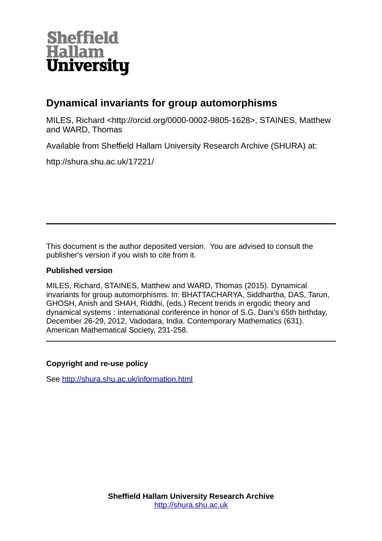

# **Dynamical invariants for group automorphisms**

MILES, Richard <http://orcid.org/0000-0002-9805-1628>, STAINES, Matthew and WARD, Thomas

Available from Sheffield Hallam University Research Archive (SHURA) at:

http://shura.shu.ac.uk/17221/

This document is the author deposited version. You are advised to consult the publisher's version if you wish to cite from it.

## **Published version**

MILES, Richard, STAINES, Matthew and WARD, Thomas (2015). Dynamical invariants for group automorphisms. In: BHATTACHARYA, Siddhartha, DAS, Tarun, GHOSH, Anish and SHAH, Riddhi, (eds.) Recent trends in ergodic theory and dynamical systems : international conference in honor of S.G. Dani's 65th birthday, December 26-29, 2012, Vadodara, India. Contemporary Mathematics (631). American Mathematical Society, 231-258.

# **Copyright and re-use policy**

See<http://shura.shu.ac.uk/information.html>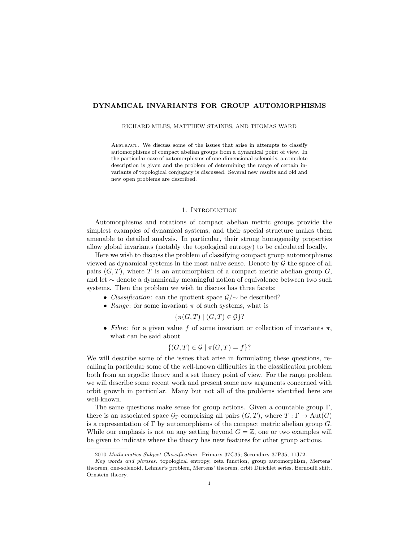### DYNAMICAL INVARIANTS FOR GROUP AUTOMORPHISMS

RICHARD MILES, MATTHEW STAINES, AND THOMAS WARD

Abstract. We discuss some of the issues that arise in attempts to classify automorphisms of compact abelian groups from a dynamical point of view. In the particular case of automorphisms of one-dimensional solenoids, a complete description is given and the problem of determining the range of certain invariants of topological conjugacy is discussed. Several new results and old and new open problems are described.

#### 1. INTRODUCTION

Automorphisms and rotations of compact abelian metric groups provide the simplest examples of dynamical systems, and their special structure makes them amenable to detailed analysis. In particular, their strong homogeneity properties allow global invariants (notably the topological entropy) to be calculated locally.

Here we wish to discuss the problem of classifying compact group automorphisms viewed as dynamical systems in the most naive sense. Denote by  $G$  the space of all pairs  $(G, T)$ , where T is an automorphism of a compact metric abelian group G, and let ∼ denote a dynamically meaningful notion of equivalence between two such systems. Then the problem we wish to discuss has three facets:

- *Classification*: can the quotient space  $\mathcal{G}/\sim$  be described?
- Range: for some invariant  $\pi$  of such systems, what is

$$
\{\pi(G,T) \mid (G,T) \in \mathcal{G}\}?
$$

• Fibre: for a given value f of some invariant or collection of invariants  $\pi$ , what can be said about

$$
\{(G,T)\in\mathcal{G}\mid \pi(G,T)=f\}
$$
?

We will describe some of the issues that arise in formulating these questions, recalling in particular some of the well-known difficulties in the classification problem both from an ergodic theory and a set theory point of view. For the range problem we will describe some recent work and present some new arguments concerned with orbit growth in particular. Many but not all of the problems identified here are well-known.

The same questions make sense for group actions. Given a countable group Γ, there is an associated space  $\mathcal{G}_{\Gamma}$  comprising all pairs  $(G, T)$ , where  $T : \Gamma \to \text{Aut}(G)$ is a representation of  $\Gamma$  by automorphisms of the compact metric abelian group  $G$ . While our emphasis is not on any setting beyond  $G = \mathbb{Z}$ , one or two examples will be given to indicate where the theory has new features for other group actions.

<sup>2010</sup> Mathematics Subject Classification. Primary 37C35; Secondary 37P35, 11J72.

Key words and phrases. topological entropy, zeta function, group automorphism, Mertens' theorem, one-solenoid, Lehmer's problem, Mertens' theorem, orbit Dirichlet series, Bernoulli shift, Ornstein theory.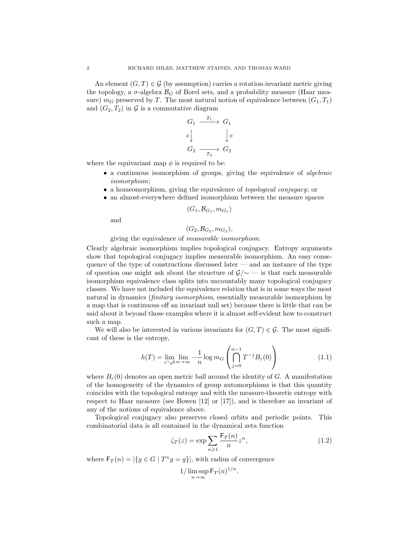An element  $(G, T) \in \mathcal{G}$  (by assumption) carries a rotation-invariant metric giving the topology, a  $\sigma$ -algebra  $\mathcal{B}_G$  of Borel sets, and a probability measure (Haar measure)  $m<sub>G</sub>$  preserved by T. The most natural notion of equivalence between  $(G_1, T_1)$ and  $(G_2, T_2)$  in  $\mathcal G$  is a commutative diagram

$$
G_1 \xrightarrow{T_1} G_1
$$
  
\n
$$
\phi \downarrow \qquad \qquad \downarrow \phi
$$
  
\n
$$
G_2 \xrightarrow{T_2} G_2
$$

where the equivariant map  $\phi$  is required to be:

- a continuous isomorphism of groups, giving the equivalence of *algebraic* isomorphism;
- a homeomorphism, giving the equivalence of *topological conjugacy*; or
- an almost-everywhere defined isomorphism between the measure spaces

$$
(G_1,\mathcal{B}_{G_1},m_{G_1})
$$

and

$$
(G_2,\mathcal{B}_{G_2},m_{G_2}),
$$

giving the equivalence of measurable isomorphism.

Clearly algebraic isomorphism implies topological conjugacy. Entropy arguments show that topological conjugacy implies measurable isomorphism. An easy consequence of the type of constructions discussed later  $-$  and an instance of the type of question one might ask about the structure of  $\mathcal{G}/\sim$  — is that each measurable isomorphism equivalence class splits into uncountably many topological conjugacy classes. We have not included the equivalence relation that is in some ways the most natural in dynamics *(finitary isomorphism*, essentially measurable isomorphism by a map that is continuous off an invariant null set) because there is little that can be said about it beyond those examples where it is almost self-evident how to construct such a map.

We will also be interested in various invariants for  $(G, T) \in \mathcal{G}$ . The most significant of these is the entropy,

$$
h(T) = \lim_{\varepsilon \searrow 0} \lim_{n \to \infty} -\frac{1}{n} \log m_G \left( \bigcap_{j=0}^{n-1} T^{-j} B_{\varepsilon}(0) \right)
$$
(1.1)

where  $B_{\varepsilon}(0)$  denotes an open metric ball around the identity of G. A manifestation of the homogeneity of the dynamics of group automorphisms is that this quantity coincides with the topological entropy and with the measure-theoretic entropy with respect to Haar measure (see Bowen [12] or [17]), and is therefore an invariant of any of the notions of equivalence above.

Topological conjugacy also preserves closed orbits and periodic points. This combinatorial data is all contained in the dynamical zeta function

$$
\zeta_T(z) = \exp \sum_{n \geqslant 1} \frac{\mathsf{F}_T(n)}{n} z^n,\tag{1.2}
$$

where  $F_T(n) = |\{ g \in G \mid T^n g = g \}|$ , with radius of convergence

$$
1/\limsup_{n\to\infty} \mathsf{F}_T(n)^{1/n}.
$$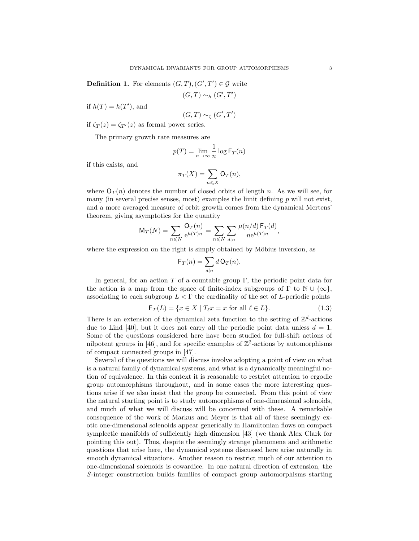**Definition 1.** For elements  $(G, T), (G', T') \in \mathcal{G}$  write

$$
(G,T) \sim_h (G',T')
$$

if  $h(T) = h(T')$ , and

$$
(G,T) \sim_\zeta (G',T')
$$

if  $\zeta_T(z) = \zeta_{T}(z)$  as formal power series.

The primary growth rate measures are

$$
p(T) = \lim_{n \to \infty} \frac{1}{n} \log \mathsf{F}_T(n)
$$

if this exists, and

$$
\pi_T(X) = \sum_{n \leq X} \mathsf{O}_T(n),
$$

where  $O_T(n)$  denotes the number of closed orbits of length n. As we will see, for many (in several precise senses, most) examples the limit defining  $p$  will not exist, and a more averaged measure of orbit growth comes from the dynamical Mertens' theorem, giving asymptotics for the quantity

$$
\mathsf{M}_{T}(N) = \sum_{n \leq N} \frac{\mathsf{O}_{T}(n)}{\mathrm{e}^{h(T)n}} = \sum_{n \leq N} \sum_{d|n} \frac{\mu(n/d) \mathsf{F}_{T}(d)}{n \mathrm{e}^{h(T)n}},
$$

where the expression on the right is simply obtained by Möbius inversion, as

$$
\mathsf{F}_T(n) = \sum_{d|n} d \mathsf{O}_T(n).
$$

In general, for an action  $T$  of a countable group  $\Gamma$ , the periodic point data for the action is a map from the space of finite-index subgroups of  $\Gamma$  to  $\mathbb{N} \cup \{\infty\},$ associating to each subgroup  $L < \Gamma$  the cardinality of the set of L-periodic points

$$
\mathsf{F}_T(L) = \{ x \in X \mid T_\ell x = x \text{ for all } \ell \in L \}. \tag{1.3}
$$

There is an extension of the dynamical zeta function to the setting of  $\mathbb{Z}^d$ -actions due to Lind [40], but it does not carry all the periodic point data unless  $d = 1$ . Some of the questions considered here have been studied for full-shift actions of nilpotent groups in [46], and for specific examples of  $\mathbb{Z}^2$ -actions by automorphisms of compact connected groups in [47].

Several of the questions we will discuss involve adopting a point of view on what is a natural family of dynamical systems, and what is a dynamically meaningful notion of equivalence. In this context it is reasonable to restrict attention to ergodic group automorphisms throughout, and in some cases the more interesting questions arise if we also insist that the group be connected. From this point of view the natural starting point is to study automorphisms of one-dimensional solenoids, and much of what we will discuss will be concerned with these. A remarkable consequence of the work of Markus and Meyer is that all of these seemingly exotic one-dimensional solenoids appear generically in Hamiltonian flows on compact symplectic manifolds of sufficiently high dimension [43] (we thank Alex Clark for pointing this out). Thus, despite the seemingly strange phenomena and arithmetic questions that arise here, the dynamical systems discussed here arise naturally in smooth dynamical situations. Another reason to restrict much of our attention to one-dimensional solenoids is cowardice. In one natural direction of extension, the S-integer construction builds families of compact group automorphisms starting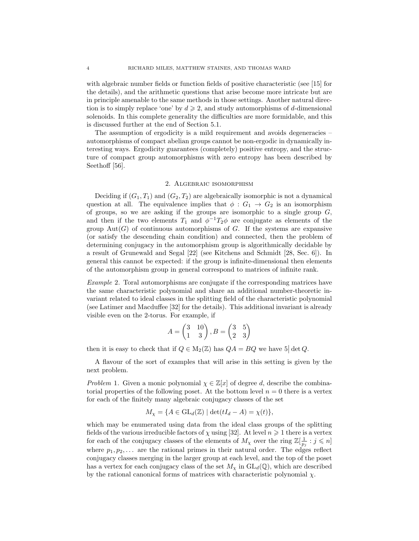with algebraic number fields or function fields of positive characteristic (see [15] for the details), and the arithmetic questions that arise become more intricate but are in principle amenable to the same methods in those settings. Another natural direction is to simply replace 'one' by  $d \geq 2$ , and study automorphisms of d-dimensional solenoids. In this complete generality the difficulties are more formidable, and this is discussed further at the end of Section 5.1.

The assumption of ergodicity is a mild requirement and avoids degeneracies – automorphisms of compact abelian groups cannot be non-ergodic in dynamically interesting ways. Ergodicity guarantees (completely) positive entropy, and the structure of compact group automorphisms with zero entropy has been described by Seethoff [56].

### 2. Algebraic isomorphism

Deciding if  $(G_1, T_1)$  and  $(G_2, T_2)$  are algebraically isomorphic is not a dynamical question at all. The equivalence implies that  $\phi : G_1 \to G_2$  is an isomorphism of groups, so we are asking if the groups are isomorphic to a single group  $G$ , and then if the two elements  $T_1$  and  $\phi^{-1}T_2\phi$  are conjugate as elements of the group  $Aut(G)$  of continuous automorphisms of G. If the systems are expansive (or satisfy the descending chain condition) and connected, then the problem of determining conjugacy in the automorphism group is algorithmically decidable by a result of Grunewald and Segal [22] (see Kitchens and Schmidt [28, Sec. 6]). In general this cannot be expected: if the group is infinite-dimensional then elements of the automorphism group in general correspond to matrices of infinite rank.

Example 2. Toral automorphisms are conjugate if the corresponding matrices have the same characteristic polynomial and share an additional number-theoretic invariant related to ideal classes in the splitting field of the characteristic polynomial (see Latimer and Macduffee [32] for the details). This additional invariant is already visible even on the 2-torus. For example, if

$$
A = \begin{pmatrix} 3 & 10 \\ 1 & 3 \end{pmatrix}, B = \begin{pmatrix} 3 & 5 \\ 2 & 3 \end{pmatrix}
$$

then it is easy to check that if  $Q \in M_2(\mathbb{Z})$  has  $QA = BQ$  we have  $5|\det Q$ .

A flavour of the sort of examples that will arise in this setting is given by the next problem.

Problem 1. Given a monic polynomial  $\chi \in \mathbb{Z}[x]$  of degree d, describe the combinatorial properties of the following poset. At the bottom level  $n = 0$  there is a vertex for each of the finitely many algebraic conjugacy classes of the set

$$
M_{\chi} = \{ A \in \mathrm{GL}_d(\mathbb{Z}) \mid \det(tI_d - A) = \chi(t) \},\
$$

which may be enumerated using data from the ideal class groups of the splitting fields of the various irreducible factors of  $\chi$  using [32]. At level  $n \geq 1$  there is a vertex for each of the conjugacy classes of the elements of  $M_\chi$  over the ring  $\mathbb{Z}[\frac{1}{p_j} : j \leq n]$ where  $p_1, p_2, \ldots$  are the rational primes in their natural order. The edges reflect conjugacy classes merging in the larger group at each level, and the top of the poset has a vertex for each conjugacy class of the set  $M_{\chi}$  in  $GL_d(\mathbb{Q})$ , which are described by the rational canonical forms of matrices with characteristic polynomial  $\chi$ .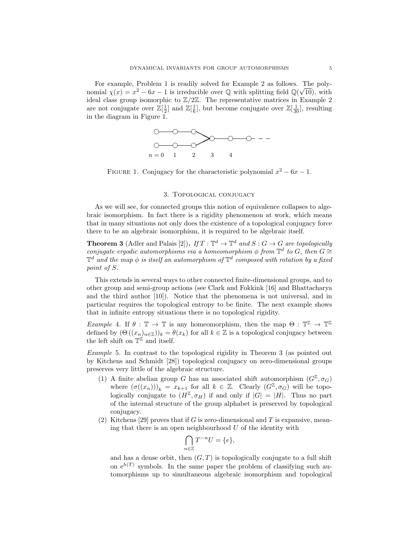For example, Problem 1 is readily solved for Example 2 as follows. The polynomial  $\chi(x) = x^2 - 6x - 1$  is irreducible over Q with splitting field  $\mathbb{Q}(\sqrt{10})$ , with ideal class group isomorphic to  $\mathbb{Z}/2\mathbb{Z}$ . The representative matrices in Example 2 are not conjugate over  $\mathbb{Z}[\frac{1}{2}]$  and  $\mathbb{Z}[\frac{1}{6}]$ , but become conjugate over  $\mathbb{Z}[\frac{1}{30}]$ , resulting in the diagram in Figure 1.



FIGURE 1. Conjugacy for the characteristic polynomial  $x^2 - 6x - 1$ .

#### 3. Topological conjugacy

As we will see, for connected groups this notion of equivalence collapses to algebraic isomorphism. In fact there is a rigidity phenomenon at work, which means that in many situations not only does the existence of a topological conjugacy force there to be an algebraic isomorphism, it is required to be algebraic itself.

**Theorem 3** (Adler and Palais [2]). If  $T : \mathbb{T}^d \to \mathbb{T}^d$  and  $S : G \to G$  are topologically conjugate ergodic automorphisms via a homeomorphism  $\phi$  from  $\mathbb{T}^d$  to  $G$ , then  $G \cong$  $\mathbb{T}^d$  and the map  $\phi$  is itself an automorphism of  $\mathbb{T}^d$  composed with rotation by a fixed point of S.

This extends in several ways to other connected finite-dimensional groups, and to other group and semi-group actions (see Clark and Fokkink [16] and Bhattacharya and the third author [10]). Notice that the phenomena is not universal, and in particular requires the topological entropy to be finite. The next example shows that in infinite entropy situations there is no topological rigidity.

Example 4. If  $\theta : \mathbb{T} \to \mathbb{T}$  is any homeomorphism, then the map  $\Theta : \mathbb{T}^{\mathbb{Z}} \to \mathbb{T}^{\mathbb{Z}}$ defined by  $(\Theta((x_n)_{n\in\mathbb{Z}}))_k = \theta(x_k)$  for all  $k \in \mathbb{Z}$  is a topological conjugacy between the left shift on  $\mathbb{T}^{\mathbb{Z}}$  and itself.

Example 5. In contrast to the topological rigidity in Theorem 3 (as pointed out by Kitchens and Schmidt [28]) topological conjugacy on zero-dimensional groups preserves very little of the algebraic structure.

- (1) A finite abelian group G has an associated shift automorphism  $(G^{\mathbb{Z}}, \sigma_G)$ where  $(\sigma((x_n)))_k = x_{k+1}$  for all  $k \in \mathbb{Z}$ . Clearly  $(G^{\mathbb{Z}}, \sigma_G)$  will be topologically conjugate to  $(H^{\mathbb{Z}}, \sigma_H)$  if and only if  $|G| = |H|$ . Thus no part of the internal structure of the group alphabet is preserved by topological conjugacy.
- (2) Kitchens [29] proves that if G is zero-dimensional and T is expansive, meaning that there is an open neighbourhood  $U$  of the identity with

$$
\bigcap_{n\in\mathbb{Z}}T^{-n}U=\{e\},\
$$

and has a dense orbit, then  $(G, T)$  is topologically conjugate to a full shift on  $e^{h(T)}$  symbols. In the same paper the problem of classifying such automorphisms up to simultaneous algebraic isomorphism and topological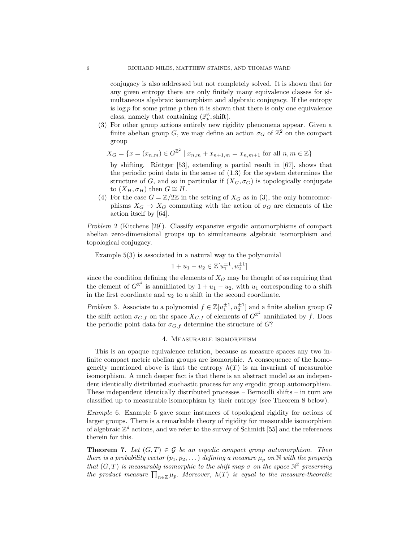conjugacy is also addressed but not completely solved. It is shown that for any given entropy there are only finitely many equivalence classes for simultaneous algebraic isomorphism and algebraic conjugacy. If the entropy is  $\log p$  for some prime p then it is shown that there is only one equivalence class, namely that containing  $(\mathbb{F}_p^{\mathbb{Z}}, \text{shift}).$ 

(3) For other group actions entirely new rigidity phenomena appear. Given a finite abelian group G, we may define an action  $\sigma_G$  of  $\mathbb{Z}^2$  on the compact group

$$
X_G = \{ x = (x_{n,m}) \in G^{\mathbb{Z}^2} \mid x_{n,m} + x_{n+1,m} = x_{n,m+1} \text{ for all } n, m \in \mathbb{Z} \}
$$

by shifting. Röttger  $[53]$ , extending a partial result in  $[67]$ , shows that the periodic point data in the sense of  $(1.3)$  for the system determines the structure of G, and so in particular if  $(X_G, \sigma_G)$  is topologically conjugate to  $(X_H, \sigma_H)$  then  $G \cong H$ .

(4) For the case  $G = \mathbb{Z}/2\mathbb{Z}$  in the setting of  $X_G$  as in (3), the only homeomorphisms  $X_G \to X_G$  commuting with the action of  $\sigma_G$  are elements of the action itself by [64].

Problem 2 (Kitchens [29]). Classify expansive ergodic automorphisms of compact abelian zero-dimensional groups up to simultaneous algebraic isomorphism and topological conjugacy.

Example 5(3) is associated in a natural way to the polynomial

$$
1 + u_1 - u_2 \in \mathbb{Z}[u_1^{\pm 1}, u_2^{\pm 1}]
$$

since the condition defining the elements of  $X_G$  may be thought of as requiring that the element of  $G^{\mathbb{Z}^2}$  is annihilated by  $1 + u_1 - u_2$ , with  $u_1$  corresponding to a shift in the first coordinate and  $u_2$  to a shift in the second coordinate.

*Problem* 3. Associate to a polynomial  $f \in \mathbb{Z}[u_1^{\pm 1}, u_2^{\pm 1}]$  and a finite abelian group G the shift action  $\sigma_{G,f}$  on the space  $X_{G,f}$  of elements of  $G^{\mathbb{Z}^2}$  annihilated by f. Does the periodic point data for  $\sigma_{G,f}$  determine the structure of  $G$ ?

#### 4. Measurable isomorphism

This is an opaque equivalence relation, because as measure spaces any two infinite compact metric abelian groups are isomorphic. A consequence of the homogeneity mentioned above is that the entropy  $h(T)$  is an invariant of measurable isomorphism. A much deeper fact is that there is an abstract model as an independent identically distributed stochastic process for any ergodic group automorphism. These independent identically distributed processes – Bernoulli shifts – in turn are classified up to measurable isomorphism by their entropy (see Theorem 8 below).

Example 6. Example 5 gave some instances of topological rigidity for actions of larger groups. There is a remarkable theory of rigidity for measurable isomorphism of algebraic  $\mathbb{Z}^d$  actions, and we refer to the survey of Schmidt [55] and the references therein for this.

**Theorem 7.** Let  $(G, T) \in \mathcal{G}$  be an ergodic compact group automorphism. Then there is a probability vector  $(p_1, p_2, \dots)$  defining a measure  $\mu_p$  on N with the property that  $(G, T)$  is measurably isomorphic to the shift map  $\sigma$  on the space  $\mathbb{N}^{\mathbb{Z}}$  preserving the product measure  $\prod_{n\in\mathbb{Z}}\mu_p$ . Moreover,  $h(T)$  is equal to the measure-theoretic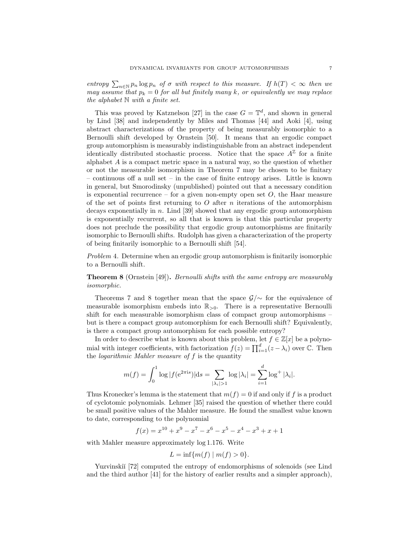entropy  $\sum_{n\in\mathbb{N}} p_n \log p_n$  of  $\sigma$  with respect to this measure. If  $h(T) < \infty$  then we may assume that  $p_k = 0$  for all but finitely many k, or equivalently we may replace the alphabet  $\mathbb N$  with a finite set.

This was proved by Katznelson [27] in the case  $G = \mathbb{T}^d$ , and shown in general by Lind [38] and independently by Miles and Thomas [44] and Aoki [4], using abstract characterizations of the property of being measurably isomorphic to a Bernoulli shift developed by Ornstein [50]. It means that an ergodic compact group automorphism is measurably indistinguishable from an abstract independent identically distributed stochastic process. Notice that the space  $A^{\mathbb{Z}}$  for a finite alphabet  $A$  is a compact metric space in a natural way, so the question of whether or not the measurable isomorphism in Theorem 7 may be chosen to be finitary – continuous off a null set – in the case of finite entropy arises. Little is known in general, but Smorodinsky (unpublished) pointed out that a necessary condition is exponential recurrence – for a given non-empty open set  $O$ , the Haar measure of the set of points first returning to  $O$  after  $n$  iterations of the automorphism decays exponentially in n. Lind [39] showed that any ergodic group automorphism is exponentially recurrent, so all that is known is that this particular property does not preclude the possibility that ergodic group automorphisms are finitarily isomorphic to Bernoulli shifts. Rudolph has given a characterization of the property of being finitarily isomorphic to a Bernoulli shift [54].

Problem 4. Determine when an ergodic group automorphism is finitarily isomorphic to a Bernoulli shift.

Theorem 8 (Ornstein [49]). Bernoulli shifts with the same entropy are measurably isomorphic.

Theorems 7 and 8 together mean that the space  $\mathcal{G}/\sim$  for the equivalence of measurable isomorphism embeds into  $\mathbb{R}_{>0}$ . There is a representative Bernoulli shift for each measurable isomorphism class of compact group automorphisms – but is there a compact group automorphism for each Bernoulli shift? Equivalently, is there a compact group automorphism for each possible entropy?

In order to describe what is known about this problem, let  $f \in \mathbb{Z}[x]$  be a polynomial with integer coefficients, with factorization  $f(z) = \prod_{i=1}^{d} (z - \lambda_i)$  over  $\mathbb{C}$ . Then the *logarithmic Mahler measure of*  $f$  is the quantity

$$
m(f) = \int_0^1 \log |f(e^{2\pi i s})| ds = \sum_{|\lambda_i| > 1} \log |\lambda_i| = \sum_{i=1}^d \log^+ |\lambda_i|.
$$

Thus Kronecker's lemma is the statement that  $m(f) = 0$  if and only if f is a product of cyclotomic polynomials. Lehmer [35] raised the question of whether there could be small positive values of the Mahler measure. He found the smallest value known to date, corresponding to the polynomial

$$
f(x) = x^{10} + x^9 - x^7 - x^6 - x^5 - x^4 - x^3 + x + 1
$$

with Mahler measure approximately log 1.176. Write

$$
L = \inf \{ m(f) \mid m(f) > 0 \}.
$$

Yuzvinskiĭ [72] computed the entropy of endomorphisms of solenoids (see Lind and the third author [41] for the history of earlier results and a simpler approach),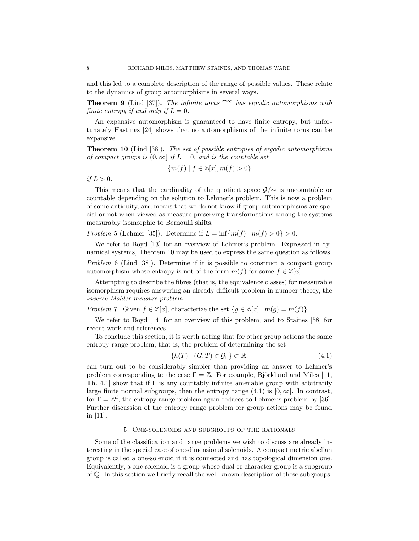and this led to a complete description of the range of possible values. These relate to the dynamics of group automorphisms in several ways.

**Theorem 9** (Lind [37]). The infinite torus  $\mathbb{T}^\infty$  has ergodic automorphisms with finite entropy if and only if  $L = 0$ .

An expansive automorphism is guaranteed to have finite entropy, but unfortunately Hastings [24] shows that no automorphisms of the infinite torus can be expansive.

Theorem 10 (Lind [38]). The set of possible entropies of ergodic automorphisms of compact groups is  $(0, \infty]$  if  $L = 0$ , and is the countable set

$$
\{m(f) \mid f \in \mathbb{Z}[x], m(f) > 0\}
$$

if  $L > 0$ .

This means that the cardinality of the quotient space  $\mathcal{G}/\sim$  is uncountable or countable depending on the solution to Lehmer's problem. This is now a problem of some antiquity, and means that we do not know if group automorphisms are special or not when viewed as measure-preserving transformations among the systems measurably isomorphic to Bernoulli shifts.

Problem 5 (Lehmer [35]). Determine if  $L = \inf \{m(f) \mid m(f) > 0\} > 0$ .

We refer to Boyd [13] for an overview of Lehmer's problem. Expressed in dynamical systems, Theorem 10 may be used to express the same question as follows. Problem 6 (Lind [38]). Determine if it is possible to construct a compact group

automorphism whose entropy is not of the form  $m(f)$  for some  $f \in \mathbb{Z}[x]$ .

Attempting to describe the fibres (that is, the equivalence classes) for measurable isomorphism requires answering an already difficult problem in number theory, the inverse Mahler measure problem.

Problem 7. Given  $f \in \mathbb{Z}[x]$ , characterize the set  $\{g \in \mathbb{Z}[x] \mid m(g) = m(f)\}.$ 

We refer to Boyd [14] for an overview of this problem, and to Staines [58] for recent work and references.

To conclude this section, it is worth noting that for other group actions the same entropy range problem, that is, the problem of determining the set

$$
\{h(T) \mid (G, T) \in \mathcal{G}_{\Gamma}\} \subset \mathbb{R},\tag{4.1}
$$

can turn out to be considerably simpler than providing an answer to Lehmer's problem corresponding to the case  $\Gamma = \mathbb{Z}$ . For example, Björklund and Miles [11, Th. 4.1] show that if  $\Gamma$  is any countably infinite amenable group with arbitrarily large finite normal subgroups, then the entropy range  $(4.1)$  is  $[0, \infty]$ . In contrast, for  $\Gamma = \mathbb{Z}^d$ , the entropy range problem again reduces to Lehmer's problem by [36]. Further discussion of the entropy range problem for group actions may be found in [11].

#### 5. One-solenoids and subgroups of the rationals

Some of the classification and range problems we wish to discuss are already interesting in the special case of one-dimensional solenoids. A compact metric abelian group is called a one-solenoid if it is connected and has topological dimension one. Equivalently, a one-solenoid is a group whose dual or character group is a subgroup of Q. In this section we briefly recall the well-known description of these subgroups.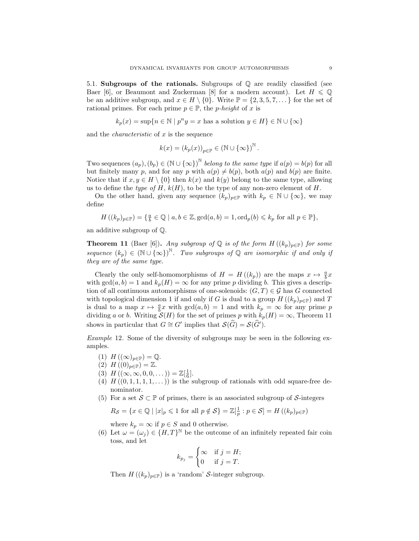5.1. Subgroups of the rationals. Subgroups of  $\mathbb Q$  are readily classified (see Baer [6], or Beaumont and Zuckerman [8] for a modern account). Let  $H \leq \mathbb{Q}$ be an additive subgroup, and  $x \in H \setminus \{0\}$ . Write  $\mathbb{P} = \{2, 3, 5, 7, \dots\}$  for the set of rational primes. For each prime  $p \in \mathbb{P}$ , the *p-height* of x is

$$
k_p(x) = \sup\{n \in \mathbb{N} \mid p^n y = x \text{ has a solution } y \in H\} \in \mathbb{N} \cup \{\infty\}
$$

and the *characteristic* of  $x$  is the sequence

$$
k(x) = (k_p(x))_{p \in \mathbb{P}} \in (\mathbb{N} \cup {\infty})^{\mathbb{N}}.
$$

Two sequences  $(a_p), (b_p) \in (\mathbb{N} \cup {\infty})^{\mathbb{N}}$  belong to the same type if  $a(p) = b(p)$  for all but finitely many p, and for any p with  $a(p) \neq b(p)$ , both  $a(p)$  and  $b(p)$  are finite. Notice that if  $x, y \in H \setminus \{0\}$  then  $k(x)$  and  $k(y)$  belong to the same type, allowing us to define the type of H,  $k(H)$ , to be the type of any non-zero element of H.

On the other hand, given any sequence  $(k_p)_{p\in\mathbb{P}}$  with  $k_p \in \mathbb{N} \cup \{\infty\}$ , we may define

$$
H((k_p)_{p\in\mathbb{P}}) = \{ \frac{a}{b} \in \mathbb{Q} \mid a, b \in \mathbb{Z}, \gcd(a, b) = 1, \text{ord}_p(b) \leqslant k_p \text{ for all } p \in \mathbb{P} \},\
$$

an additive subgroup of Q.

**Theorem 11** (Baer [6]). Any subgroup of Q is of the form  $H((k_p)_{p\in\mathbb{P}})$  for some sequence  $(k_p) \in (\mathbb{N} \cup {\infty})^{\mathbb{N}}$ . Two subgroups of Q are isomorphic if and only if they are of the same type.

Clearly the only self-homomorphisms of  $H = H((k_p))$  are the maps  $x \mapsto \frac{a}{b}x$ with  $gcd(a, b) = 1$  and  $k_p(H) = \infty$  for any prime p dividing b. This gives a description of all continuous automorphisms of one-solenoids:  $(G, T) \in \mathcal{G}$  has G connected with topological dimension 1 if and only if G is dual to a group  $H((k_p)_{p\in\mathbb{P}})$  and T is dual to a map  $x \mapsto \frac{a}{b}x$  with  $gcd(a, b) = 1$  and with  $k_p = \infty$  for any prime p dividing a or b. Writing  $\mathcal{S}(H)$  for the set of primes p with  $k_p(H) = \infty$ , Theorem 11 shows in particular that  $G \cong G'$  implies that  $\mathcal{S}(\widehat{G}) = \mathcal{S}(\widehat{G}').$ 

Example 12. Some of the diversity of subgroups may be seen in the following examples.

- (1)  $H((\infty)_{p\in\mathbb{P}})=\mathbb{Q}.$
- (2)  $H((0)_{p\in\mathbb{P}})=\mathbb{Z}.$
- (3)  $H((\infty, \infty, 0, 0, \dots)) = \mathbb{Z}[\frac{1}{6}].$
- (4)  $H((0,1,1,1,1,\ldots))$  is the subgroup of rationals with odd square-free denominator.
- (5) For a set  $S \subset \mathbb{P}$  of primes, there is an associated subgroup of S-integers

$$
R_{\mathcal{S}} = \{ x \in \mathbb{Q} \mid |x|_p \leq 1 \text{ for all } p \notin \mathcal{S} \} = \mathbb{Z}[\frac{1}{p} : p \in \mathcal{S}] = H((k_p)_{p \in \mathbb{P}})
$$

where  $k_p = \infty$  if  $p \in S$  and 0 otherwise.

(6) Let  $\omega = (\omega_j) \in \{H, T\}^{\mathbb{N}}$  be the outcome of an infinitely repeated fair coin toss, and let

$$
k_{p_j} = \begin{cases} \infty & \text{if } j = H; \\ 0 & \text{if } j = T. \end{cases}
$$

Then  $H((k_p)_{p\in\mathbb{P}})$  is a 'random' S-integer subgroup.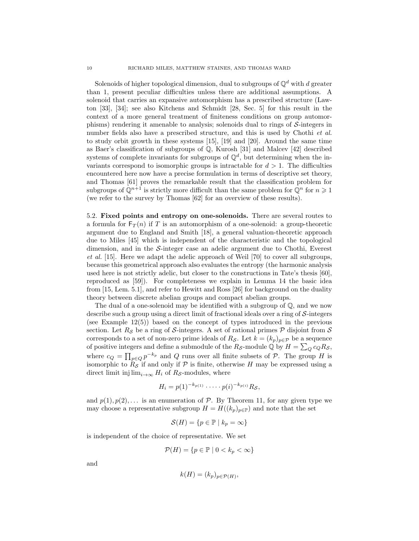Solenoids of higher topological dimension, dual to subgroups of  $\mathbb{Q}^d$  with d greater than 1, present peculiar difficulties unless there are additional assumptions. A solenoid that carries an expansive automorphism has a prescribed structure (Lawton [33], [34]; see also Kitchens and Schmidt [28, Sec. 5] for this result in the context of a more general treatment of finiteness conditions on group automorphisms) rendering it amenable to analysis; solenoids dual to rings of  $S$ -integers in number fields also have a prescribed structure, and this is used by Chothi *et al.* to study orbit growth in these systems [15], [19] and [20]. Around the same time as Baer's classification of subgroups of  $\mathbb{Q}$ , Kurosh [31] and Malcev [42] described systems of complete invariants for subgroups of  $\mathbb{Q}^d$ , but determining when the invariants correspond to isomorphic groups is intractable for  $d > 1$ . The difficulties encountered here now have a precise formulation in terms of descriptive set theory, and Thomas [61] proves the remarkable result that the classification problem for subgroups of  $\mathbb{Q}^{n+1}$  is strictly more difficult than the same problem for  $\mathbb{Q}^n$  for  $n \geq 1$ (we refer to the survey by Thomas [62] for an overview of these results).

5.2. Fixed points and entropy on one-solenoids. There are several routes to a formula for  $F_T(n)$  if T is an automorphism of a one-solenoid: a group-theoretic argument due to England and Smith [18], a general valuation-theoretic approach due to Miles [45] which is independent of the characteristic and the topological dimension, and in the S-integer case an adelic argument due to Chothi, Everest et al. [15]. Here we adapt the adelic approach of Weil [70] to cover all subgroups, because this geometrical approach also evaluates the entropy (the harmonic analysis used here is not strictly adelic, but closer to the constructions in Tate's thesis [60], reproduced as [59]). For completeness we explain in Lemma 14 the basic idea from [15, Lem. 5.1], and refer to Hewitt and Ross [26] for background on the duality theory between discrete abelian groups and compact abelian groups.

The dual of a one-solenoid may be identified with a subgroup of  $\mathbb{Q}$ , and we now describe such a group using a direct limit of fractional ideals over a ring of  $\mathcal{S}\text{-integers}$ (see Example 12(5)) based on the concept of types introduced in the previous section. Let  $R_{\mathcal{S}}$  be a ring of S-integers. A set of rational primes P disjoint from S corresponds to a set of non-zero prime ideals of  $R_{\mathcal{S}}$ . Let  $k = (k_p)_{p \in \mathcal{P}}$  be a sequence of positive integers and define a submodule of the  $R_{\mathcal{S}}$ -module Q by  $H = \sum_{Q} c_{Q} R_{\mathcal{S}}$ , where  $c_Q = \prod_{p \in Q} p^{-k_p}$  and Q runs over all finite subsets of P. The group H is isomorphic to  $R<sub>S</sub>$  if and only if P is finite, otherwise H may be expressed using a direct limit inj  $\lim_{i\to\infty} H_i$  of  $R_{\mathcal{S}}$ -modules, where

$$
H_i = p(1)^{-k_{p(1)}} \cdot \cdots \cdot p(i)^{-k_{p(i)}} R_{\mathcal{S}},
$$

and  $p(1), p(2), \ldots$  is an enumeration of P. By Theorem 11, for any given type we may choose a representative subgroup  $H = H((k_p)_{p \in \mathbb{P}})$  and note that the set

$$
\mathcal{S}(H) = \{ p \in \mathbb{P} \mid k_p = \infty \}
$$

is independent of the choice of representative. We set

$$
\mathcal{P}(H) = \{ p \in \mathbb{P} \mid 0 < k_p < \infty \}
$$

and

$$
k(H) = (k_p)_{p \in \mathcal{P}(H)},
$$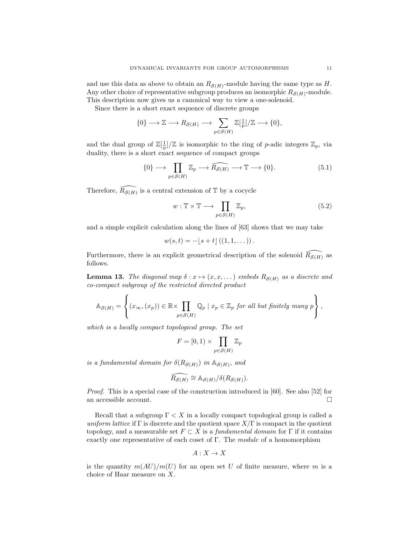and use this data as above to obtain an  $R_{\mathcal{S}(H)}$ -module having the same type as H. Any other choice of representative subgroup produces an isomorphic  $R_{\mathcal{S}(H)}$ -module. This description now gives us a canonical way to view a one-solenoid.

Since there is a short exact sequence of discrete groups

$$
\{0\} \longrightarrow \mathbb{Z} \longrightarrow R_{\mathcal{S}(H)} \longrightarrow \sum_{p \in \mathcal{S}(H)} \mathbb{Z}[\frac{1}{p}]/\mathbb{Z} \longrightarrow \{0\},\
$$

and the dual group of  $\mathbb{Z}[\frac{1}{p}]/\mathbb{Z}$  is isomorphic to the ring of p-adic integers  $\mathbb{Z}_p$ , via duality, there is a short exact sequence of compact groups

$$
\{0\} \longrightarrow \prod_{p \in \mathcal{S}(H)} \mathbb{Z}_p \longrightarrow \widehat{R_{\mathcal{S}(H)}} \longrightarrow \mathbb{T} \longrightarrow \{0\}.
$$
 (5.1)

Therefore,  $\widehat{R_{\mathcal{S}(H)}}$  is a central extension of T by a cocycle

$$
w: \mathbb{T} \times \mathbb{T} \longrightarrow \prod_{p \in \mathcal{S}(H)} \mathbb{Z}_p,\tag{5.2}
$$

and a simple explicit calculation along the lines of [63] shows that we may take

$$
w(s,t) = -[s+t] ((1,1,...))
$$
.

Furthermore, there is an explicit geometrical description of the solenoid  $\widehat{R_{S(H)}}$  as follows.

**Lemma 13.** The diagonal map  $\delta: x \mapsto (x, x, \dots)$  embeds  $R_{\mathcal{S}(H)}$  as a discrete and co-compact subgroup of the restricted directed product

$$
\mathbb{A}_{\mathcal{S}(H)} = \left\{ (x_{\infty}, (x_p)) \in \mathbb{R} \times \prod_{p \in \mathcal{S}(H)} \mathbb{Q}_p \mid x_p \in \mathbb{Z}_p \text{ for all but finitely many } p \right\},\
$$

which is a locally compact topological group. The set

$$
F = [0, 1) \times \prod_{p \in \mathcal{S}(H)} \mathbb{Z}_p
$$

is a fundamental domain for  $\delta(R_{\mathcal{S}(H)})$  in  $\mathbb{A}_{\mathcal{S}(H)}$ , and

$$
\widehat{R_{\mathcal{S}(H)}} \cong \mathbb{A}_{\mathcal{S}(H)}/\delta(R_{\mathcal{S}(H)}).
$$

Proof. This is a special case of the construction introduced in [60]. See also [52] for an accessible account.

Recall that a subgroup  $\Gamma < X$  in a locally compact topological group is called a uniform lattice if  $\Gamma$  is discrete and the quotient space  $X/\Gamma$  is compact in the quotient topology, and a measurable set  $F \subset X$  is a *fundamental domain* for  $\Gamma$  if it contains exactly one representative of each coset of Γ. The module of a homomorphism

$$
A:X\to X
$$

is the quantity  $m(AU)/m(U)$  for an open set U of finite measure, where m is a choice of Haar measure on X.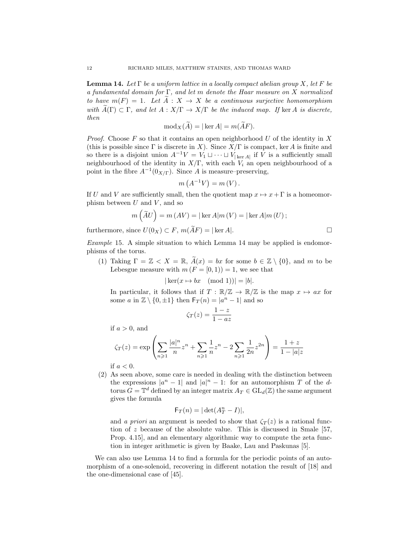**Lemma 14.** Let  $\Gamma$  be a uniform lattice in a locally compact abelian group X, let F be a fundamental domain for  $\Gamma$ , and let m denote the Haar measure on X normalized to have  $m(F) = 1$ . Let  $\widetilde{A}: X \to X$  be a continuous surjective homomorphism with  $\widetilde{A}(\Gamma) \subset \Gamma$ , and let  $A: X/\Gamma \to X/\Gamma$  be the induced map. If ker A is discrete, then

$$
\text{mod}_X(\widetilde{A}) = |\ker A| = m(\widetilde{A}F).
$$

*Proof.* Choose  $F$  so that it contains an open neighborhood  $U$  of the identity in  $X$ (this is possible since  $\Gamma$  is discrete in X). Since  $X/\Gamma$  is compact, ker A is finite and so there is a disjoint union  $A^{-1}V = V_1 \sqcup \cdots \sqcup V_{|\ker A|}$  if V is a sufficiently small neighbourhood of the identity in  $X/\Gamma$ , with each  $V_i$  an open neighbourhood of a point in the fibre  $A^{-1}(0_{X/\Gamma})$ . Since A is measure–preserving,

$$
m(A^{-1}V) = m(V).
$$

If U and V are sufficiently small, then the quotient map  $x \mapsto x + \Gamma$  is a homeomorphism between  $U$  and  $V$ , and so

$$
m\left(\widetilde{A}U\right) = m\left(AV\right) = |\ker A|m\left(V\right) = |\ker A|m\left(U\right);
$$

furthermore, since  $U(0_X) \subset F$ ,  $m(\widetilde{A}F) = |\ker A|$ .

Example 15. A simple situation to which Lemma 14 may be applied is endomorphisms of the torus.

(1) Taking  $\Gamma = \mathbb{Z} < X = \mathbb{R}$ ,  $\widetilde{A}(x) = bx$  for some  $b \in \mathbb{Z} \setminus \{0\}$ , and m to be Lebesgue measure with  $m (F = [0, 1)) = 1$ , we see that

 $|\ker(x \mapsto bx \pmod{1})| = |b|.$ 

In particular, it follows that if  $T : \mathbb{R}/\mathbb{Z} \to \mathbb{R}/\mathbb{Z}$  is the map  $x \mapsto ax$  for some a in  $\mathbb{Z} \setminus \{0, \pm 1\}$  then  $\mathsf{F}_T(n) = |a^n - 1|$  and so

$$
\zeta_T(z) = \frac{1-z}{1-az}
$$

if  $a > 0$ , and

$$
\zeta_T(z) = \exp\left(\sum_{n\geqslant 1} \frac{|a|^n}{n} z^n + \sum_{n\geqslant 1} \frac{1}{n} z^n - 2 \sum_{n\geqslant 1} \frac{1}{2n} z^{2n}\right) = \frac{1+z}{1-|a|z|}
$$

if  $a < 0$ .

(2) As seen above, some care is needed in dealing with the distinction between the expressions  $|a^n - 1|$  and  $|a|^n - 1$ : for an automorphism T of the dtorus  $G = \mathbb{T}^d$  defined by an integer matrix  $A_T \in GL_d(\mathbb{Z})$  the same argument gives the formula

$$
\mathsf{F}_T(n) = |\det(A_T^n - I)|,
$$

and a priori an argument is needed to show that  $\zeta_T(z)$  is a rational function of  $z$  because of the absolute value. This is discussed in Smale [57, Prop. 4.15], and an elementary algorithmic way to compute the zeta function in integer arithmetic is given by Baake, Lau and Paskunas [5].

We can also use Lemma 14 to find a formula for the periodic points of an automorphism of a one-solenoid, recovering in different notation the result of [18] and the one-dimensional case of [45].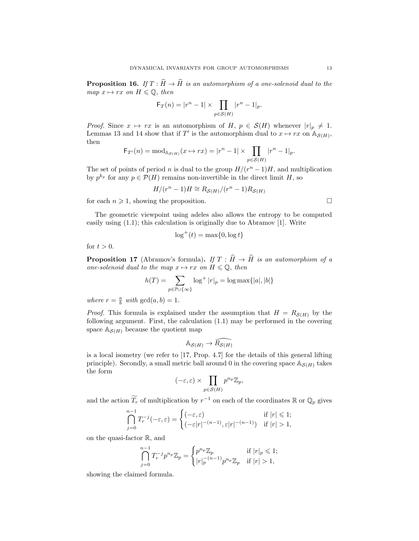**Proposition 16.** If  $T : \widehat{H} \to \widehat{H}$  is an automorphism of a one-solenoid dual to the map  $x \mapsto rx$  on  $H \leqslant \mathbb{Q}$ , then

$$
\mathsf{F}_T(n) = |r^n - 1| \times \prod_{p \in \mathcal{S}(H)} |r^n - 1|_p.
$$

*Proof.* Since  $x \mapsto rx$  is an automorphism of H,  $p \in S(H)$  whenever  $|r|_p \neq 1$ . Lemmas 13 and 14 show that if T' is the automorphism dual to  $x \mapsto rx$  on  $\mathbb{A}_{\mathcal{S}(H)}$ , then

$$
\mathsf{F}_{T'}(n) = \text{mod}_{\mathbb{A}_{\mathcal{S}(H)}}(x \mapsto rx) = |r^n - 1| \times \prod_{p \in \mathcal{S}(H)} |r^n - 1|_p.
$$

The set of points of period *n* is dual to the group  $H/(r^n-1)H$ , and multiplication by  $p^{k_p}$  for any  $p \in \mathcal{P}(H)$  remains non-invertible in the direct limit H, so

$$
H/(r^n - 1)H \cong R_{\mathcal{S}(H)}/(r^n - 1)R_{\mathcal{S}(H)}
$$

for each  $n \geq 1$ , showing the proposition.

The geometric viewpoint using adeles also allows the entropy to be computed easily using (1.1); this calculation is originally due to Abramov [1]. Write

$$
\log^+(t) = \max\{0, \log t\}
$$

for  $t > 0$ .

**Proposition 17** (Abramov's formula). If  $T : \widehat{H} \to \widehat{H}$  is an automorphism of a one-solenoid dual to the map  $x \mapsto rx$  on  $H \leq \mathbb{Q}$ , then

$$
h(T) = \sum_{p \in \mathbb{P} \cup \{\infty\}} \log^+ |r|_p = \log \max\{|a|, |b|\}
$$

where  $r = \frac{a}{b}$  with  $gcd(a, b) = 1$ .

*Proof.* This formula is explained under the assumption that  $H = R_{\mathcal{S}(H)}$  by the following argument. First, the calculation (1.1) may be performed in the covering space  $\mathbb{A}_{\mathcal{S}(H)}$  because the quotient map

$$
\mathbb{A}_{\mathcal{S}(H)} \to \widehat{R_{\mathcal{S}(H)}}
$$

is a local isometry (we refer to [17, Prop. 4.7] for the details of this general lifting principle). Secondly, a small metric ball around 0 in the covering space  $\mathbb{A}_{\mathcal{S}(H)}$  takes the form

$$
(-\varepsilon,\varepsilon) \times \prod_{p \in \mathcal{S}(H)} p^{n_p} \mathbb{Z}_p,
$$

and the action  $\widetilde{T_r}$  of multiplication by  $r^{-1}$  on each of the coordinates R or  $\mathbb{Q}_p$  gives

$$
\bigcap_{j=0}^{n-1} T_r^{-j}(-\varepsilon, \varepsilon) = \begin{cases} (-\varepsilon, \varepsilon) & \text{if } |r| \leq 1; \\ (-\varepsilon |r|^{-(n-1)}, \varepsilon |r|^{-(n-1)}) & \text{if } |r| > 1, \end{cases}
$$

on the quasi-factor R, and

$$
\bigcap_{j=0}^{n-1} T_r^{-j} p^{n_p} \mathbb{Z}_p = \begin{cases} p^{n_p} \mathbb{Z}_p & \text{if } |r|_p \leq 1; \\ |r|_p^{-(n-1)} p^{n_p} \mathbb{Z}_p & \text{if } |r| > 1, \end{cases}
$$

showing the claimed formula.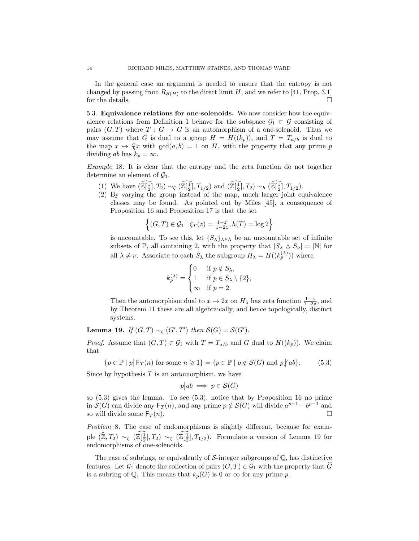In the general case an argument is needed to ensure that the entropy is not changed by passing from  $R_{\mathcal{S}(H)}$  to the direct limit H, and we refer to [41, Prop. 3.1] for the details.  $\hfill \square$ 

5.3. Equivalence relations for one-solenoids. We now consider how the equivalence relations from Definition 1 behave for the subspace  $\mathcal{G}_1 \subset \mathcal{G}$  consisting of pairs  $(G, T)$  where  $T : G \to G$  is an automorphism of a one-solenoid. Thus we may assume that G is dual to a group  $H = H((k_p))$ , and  $T = T_{a/b}$  is dual to the map  $x \mapsto \frac{a}{b}x$  with  $gcd(a, b) = 1$  on H, with the property that any prime p dividing ab has  $k_p = \infty$ .

Example 18. It is clear that the entropy and the zeta function do not together determine an element of  $\mathcal{G}_1$ .

- (1) We have  $(\mathbb{Z}[\frac{1}{2}], T_2) \sim_{\zeta} (\mathbb{Z}[\frac{1}{2}], T_{1/2})$  and  $(\mathbb{Z}[\frac{1}{2}], T_2) \sim_h (\mathbb{Z}[\frac{1}{2}], T_{1/2})$ .
- (2) By varying the group instead of the map, much larger joint equivalence classes may be found. As pointed out by Miles [45], a consequence of Proposition 16 and Proposition 17 is that the set

$$
\left\{ (G,T) \in \mathcal{G}_1 \mid \zeta_T(z) = \frac{1-z}{1-2z}, h(T) = \log 2 \right\}
$$

is uncountable. To see this, let  $\{S_{\lambda}\}_{\lambda \in \Lambda}$  be an uncountable set of infinite subsets of  $\mathbb{P}$ , all containing 2, with the property that  $|S_\lambda \Delta S_\nu| = |\mathbb{N}|$  for all  $\lambda \neq \nu$ . Associate to each  $S_{\lambda}$  the subgroup  $H_{\lambda} = H((k_p^{(\lambda)}))$  where

$$
k_p^{(\lambda)} = \begin{cases} 0 & \text{if } p \notin S_{\lambda}, \\ 1 & \text{if } p \in S_{\lambda} \setminus \{2\}, \\ \infty & \text{if } p = 2. \end{cases}
$$

Then the automorphism dual to  $x \mapsto 2x$  on  $H_\lambda$  has zeta function  $\frac{1-z}{1-2z}$ , and by Theorem 11 these are all algebraically, and hence topologically, distinct systems.

**Lemma 19.** If  $(G, T) \sim_{\zeta} (G', T')$  then  $\mathcal{S}(G) = \mathcal{S}(G')$ .

*Proof.* Assume that  $(G, T) \in \mathcal{G}_1$  with  $T = T_{a/b}$  and G dual to  $H((k_p))$ . We claim that

 $\{p \in \mathbb{P} \mid p \mid \mathsf{F}_T(n) \text{ for some } n \geq 1\} = \{p \in \mathbb{P} \mid p \notin \mathcal{S}(G) \text{ and } p \nmid ab\}.$  (5.3)

Since by hypothesis  $T$  is an automorphism, we have

$$
p|ab \implies p \in \mathcal{S}(G)
$$

so (5.3) gives the lemma. To see (5.3), notice that by Proposition 16 no prime in  $\mathcal{S}(G)$  can divide any  $\mathsf{F}_T(n)$ , and any prime  $p \notin \mathcal{S}(G)$  will divide  $a^{p-1} - b^{p-1}$  and so will divide some  $F_T(n)$ .

Problem 8. The case of endomorphisms is slightly different, because for example  $(\widehat{\mathbb{Z}}, T_2) \sim_{\zeta} (\mathbb{Z}[\frac{1}{2}], T_2) \sim_{\zeta} (\mathbb{Z}[\frac{1}{2}], T_{1/2})$ . Formulate a version of Lemma 19 for endomorphisms of one-solenoids.

The case of subrings, or equivalently of  $S$ -integer subgroups of  $\mathbb{Q}$ , has distinctive features. Let  $\mathcal{G}_1$  denote the collection of pairs  $(G, T) \in \mathcal{G}_1$  with the property that  $\tilde{G}$ is a subring of  $\mathbb Q$ . This means that  $k_p(G)$  is 0 or  $\infty$  for any prime p.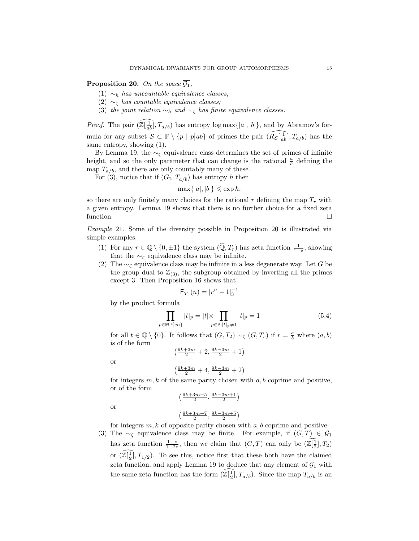**Proposition 20.** On the space  $\overline{G_1}$ ,

- (1)  $\sim_h$  has uncountable equivalence classes;
- (2)  $\sim$ <sub>c</sub> has countable equivalence classes;
- (3) the joint relation  $\sim_h$  and  $\sim_{\zeta}$  has finite equivalence classes.

*Proof.* The pair  $(\widehat{\mathbb{Z}[\frac{1}{ab}]}$ ,  $T_{a/b})$  has entropy log max $\{|a|, |b|\}$ , and by Abramov's formula for any subset  $S \subseteq \mathbb{P} \setminus \{p \mid p | ab\}$  of primes the pair  $\widehat{(R_{S}[\frac{1}{ab}], T_{a/b})}$  has the same entropy, showing (1).

By Lemma 19, the  $\sim$ <sub>c</sub> equivalence class determines the set of primes of infinite height, and so the only parameter that can change is the rational  $\frac{a}{b}$  defining the map  $T_{a/b}$ , and there are only countably many of these.

For (3), notice that if  $(G_2, T_{a/b})$  has entropy h then

$$
\max\{|a|, |b|\} \leqslant \exp h,
$$

so there are only finitely many choices for the rational r defining the map  $T_r$  with a given entropy. Lemma 19 shows that there is no further choice for a fixed zeta function.

Example 21. Some of the diversity possible in Proposition 20 is illustrated via simple examples.

- (1) For any  $r \in \mathbb{Q} \setminus \{0, \pm 1\}$  the system  $(\widehat{\mathbb{Q}}, T_r)$  has zeta function  $\frac{1}{1-z}$ , showing that the  $\sim$ <sub> $\zeta$ </sub> equivalence class may be infinite.
- (2) The  $\sim$ <sub>c</sub> equivalence class may be infinite in a less degenerate way. Let G be the group dual to  $\mathbb{Z}_{(3)}$ , the subgroup obtained by inverting all the primes except 3. Then Proposition 16 shows that

$$
\mathsf{F}_{T_r}(n) = |r^n - 1|_3^{-1}
$$

by the product formula

 $p$  $∈$ 

$$
\prod_{\mathbb{P}\cup\{\infty\}}|t|_p=|t|\times\prod_{p\in\mathbb{P}:|t|_p\neq 1}|t|_p=1\tag{5.4}
$$

for all  $t \in \mathbb{Q} \setminus \{0\}$ . It follows that  $(G, T_2) \sim_{\zeta} (G, T_r)$  if  $r = \frac{a}{b}$  where  $(a, b)$ is of the form

$$
\left(\frac{9k+3m}{2}+2, \frac{9k-3m}{2}+1\right)
$$

or

or

$$
\left(\tfrac{9k+3m}{2}+4,\tfrac{9k-3m}{2}+2\right)
$$

for integers  $m, k$  of the same parity chosen with  $a, b$  coprime and positive, or of the form

$$
\left(\frac{9k+3m+5}{2}, \frac{9k-3m+1}{2}\right)
$$

$$
\left(\frac{9k+3m+7}{2}, \frac{9k-3m+5}{2}\right)
$$

for integers  $m, k$  of opposite parity chosen with  $a, b$  coprime and positive.

(3) The ∼<sub> $\zeta$ </sub> equivalence class may be finite. For example, if  $(G,T) \in \overline{\mathcal{G}_1}$ has zeta function  $\frac{1-z}{1-2z}$ , then we claim that  $(G, T)$  can only be  $(\mathbb{Z}[\frac{1}{2}], T_2)$ or  $(\mathbb{Z}[\frac{1}{2}], T_{1/2})$ . To see this, notice first that these both have the claimed zeta function, and apply Lemma 19 to deduce that any element of  $\overline{G_1}$  with the same zeta function has the form  $(\mathbb{Z}[\frac{1}{2}], T_{a/b})$ . Since the map  $T_{a/b}$  is an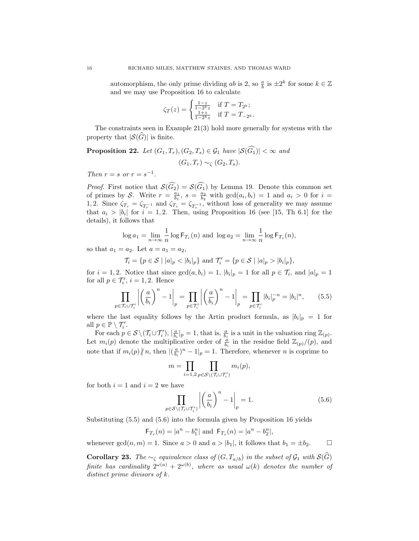automorphism, the only prime dividing  $ab$  is  $2$ , so  $\frac{a}{b}$  is  $\pm 2^k$  for some  $k \in \mathbb{Z}$ and we may use Proposition 16 to calculate

$$
\zeta_T(z) = \begin{cases} \frac{1-z}{1-2^k z} & \text{if } T = T_{2^k}; \\ \frac{1+z}{1-2^k z} & \text{if } T = T_{-2^k}. \end{cases}
$$

The constraints seen in Example 21(3) hold more generally for systems with the property that  $|\mathcal{S}(G)|$  is finite.

**Proposition 22.** Let  $(G_1, T_r), (G_2, T_s) \in \mathcal{G}_1$  have  $|\mathcal{S}(\widehat{G_1})| < \infty$  and  $(G_1, T_r) \sim_{\zeta} (G_2, T_s).$ 

Then  $r = s$  or  $r = s^{-1}$ .

*Proof.* First notice that  $S(G_2) = S(G_1)$  by Lemma 19. Denote this common set of primes by S. Write  $r = \frac{a_1}{b_1}$ ,  $s = \frac{a_2}{b_2}$  with  $gcd(a_i, b_i) = 1$  and  $a_i > 0$  for  $i =$ 1, 2. Since  $\zeta_{T_r} = \zeta_{T_r^{-1}}$  and  $\zeta_{T_s} = \zeta_{T_s^{-1}}$ , without loss of generality we may assume that  $a_i > |b_i|$  for  $i = 1, 2$ . Then, using Proposition 16 (see [15, Th 6.1] for the details), it follows that

$$
\log a_1 = \lim_{n \to \infty} \frac{1}{n} \log \mathsf{F}_{T_r}(n)
$$
 and 
$$
\log a_2 = \lim_{n \to \infty} \frac{1}{n} \log \mathsf{F}_{T_s}(n),
$$

so that  $a_1 = a_2$ . Let  $a = a_1 = a_2$ ,

$$
\mathcal{T}_i = \{ p \in \mathcal{S} \mid |a|_p < |b_i|_p \} \text{ and } \mathcal{T}'_i = \{ p \in \mathcal{S} \mid |a|_p > |b_i|_p \},\
$$

for  $i = 1, 2$ . Notice that since  $gcd(a, b_i) = 1$ ,  $|b_i|_p = 1$  for all  $p \in \mathcal{T}_i$ , and  $|a|_p = 1$ for all  $p \in \mathcal{T}'_i$ ,  $i = 1, 2$ . Hence

$$
\prod_{p \in \mathcal{T}_i \cup \mathcal{T}'_i} \left| \left( \frac{a}{b_i} \right)^n - 1 \right|_p = \prod_{p \in \mathcal{T}'_i} \left| \left( \frac{a}{b_i} \right)^n - 1 \right|_p = \prod_{p \in \mathcal{T}'_i} |b_i|_p^{-n} = |b_i|^n, \tag{5.5}
$$

where the last equality follows by the Artin product formula, as  $|b_i|_p = 1$  for all  $p \in \mathbb{P} \setminus \mathcal{T}'_i$ .

For each  $p \in \mathcal{S} \setminus (\mathcal{T}_i \cup \mathcal{T}'_i)$ ,  $|\frac{a}{b_i}|_p = 1$ , that is,  $\frac{a}{b_i}$  is a unit in the valuation ring  $\mathbb{Z}_{(p)}$ . Let  $m_i(p)$  denote the multiplicative order of  $\frac{a}{b_i}$  in the residue field  $\mathbb{Z}_{(p)}/(p)$ , and note that if  $m_i(p) \nmid n$ , then  $|(\frac{a}{b_i})^n - 1|_p = 1$ . Therefore, whenever *n* is coprime to

$$
m=\prod_{i=1,2}\prod_{p\in\mathcal{S}\backslash(\mathcal{T}_i\cup\mathcal{T}'_i)}m_i(p),
$$

for both  $i = 1$  and  $i = 2$  we have

$$
\prod_{p \in \mathcal{S} \setminus (\mathcal{T}_i \cup \mathcal{T}'_i)} \left| \left( \frac{a}{b_i} \right)^n - 1 \right|_p = 1.
$$
\n(5.6)

Substituting (5.5) and (5.6) into the formula given by Proposition 16 yields

$$
F_{T_r}(n) = |a^n - b_1^n|
$$
 and  $F_{T_s}(n) = |a^n - b_2^n|$ ,

whenever  $gcd(n, m) = 1$ . Since  $a > 0$  and  $a > |b_1|$ , it follows that  $b_1 = \pm b_2$ .

**Corollary 23.** The  $\sim_{\zeta}$  equivalence class of  $(G, T_{a/b})$  in the subset of  $\mathcal{G}_1$  with  $\mathcal{S}(\widehat{G})$ finite has cardinality  $2^{\omega(a)} + 2^{\omega(b)}$ , where as usual  $\omega(k)$  denotes the number of distinct prime divisors of k.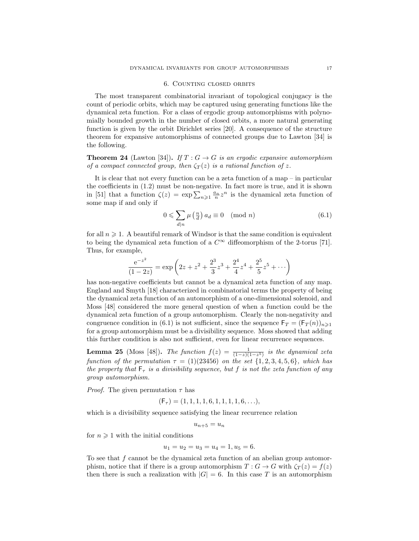#### 6. Counting closed orbits

The most transparent combinatorial invariant of topological conjugacy is the count of periodic orbits, which may be captured using generating functions like the dynamical zeta function. For a class of ergodic group automorphisms with polynomially bounded growth in the number of closed orbits, a more natural generating function is given by the orbit Dirichlet series [20]. A consequence of the structure theorem for expansive automorphisms of connected groups due to Lawton [34] is the following.

**Theorem 24** (Lawton [34]). If  $T: G \to G$  is an ergodic expansive automorphism of a compact connected group, then  $\zeta_T(z)$  is a rational function of z.

It is clear that not every function can be a zeta function of a map – in particular the coefficients in (1.2) must be non-negative. In fact more is true, and it is shown in [51] that a function  $\zeta(z) = \exp \sum_{n\geqslant 1} \frac{a_n}{n} z^n$  is the dynamical zeta function of some map if and only if

$$
0 \leqslant \sum_{d|n} \mu\left(\frac{n}{d}\right) a_d \equiv 0 \pmod{n} \tag{6.1}
$$

for all  $n \geq 1$ . A beautiful remark of Windsor is that the same condition is equivalent to being the dynamical zeta function of a  $C^{\infty}$  diffeomorphism of the 2-torus [71]. Thus, for example,

$$
\frac{e^{-z^2}}{(1-2z)} = \exp\left(2z + z^2 + \frac{2^3}{3}z^3 + \frac{2^4}{4}z^4 + \frac{2^5}{5}z^5 + \cdots\right)
$$

has non-negative coefficients but cannot be a dynamical zeta function of any map. England and Smyth [18] characterized in combinatorial terms the property of being the dynamical zeta function of an automorphism of a one-dimensional solenoid, and Moss [48] considered the more general question of when a function could be the dynamical zeta function of a group automorphism. Clearly the non-negativity and congruence condition in (6.1) is not sufficient, since the sequence  $F_T = (F_T(n))_{n \geq 1}$ for a group automorphism must be a divisibility sequence. Moss showed that adding this further condition is also not sufficient, even for linear recurrence sequences.

**Lemma 25** (Moss [48]). The function  $f(z) = \frac{1}{(1-z)(1-z^5)}$  is the dynamical zeta function of the permutation  $\tau = (1)(23456)$  on the set  $\{1, 2, 3, 4, 5, 6\}$ , which has the property that  $\mathsf{F}_{\tau}$  is a divisibility sequence, but f is not the zeta function of any group automorphism.

*Proof.* The given permutation  $\tau$  has

$$
(\mathsf{F}_{\tau}) = (1, 1, 1, 1, 6, 1, 1, 1, 1, 6, \ldots),
$$

which is a divisibility sequence satisfying the linear recurrence relation

$$
u_{n+5} = u_n
$$

for  $n \geq 1$  with the initial conditions

$$
u_1 = u_2 = u_3 = u_4 = 1, u_5 = 6.
$$

To see that  $f$  cannot be the dynamical zeta function of an abelian group automorphism, notice that if there is a group automorphism  $T : G \to G$  with  $\zeta_T(z) = f(z)$ then there is such a realization with  $|G| = 6$ . In this case T is an automorphism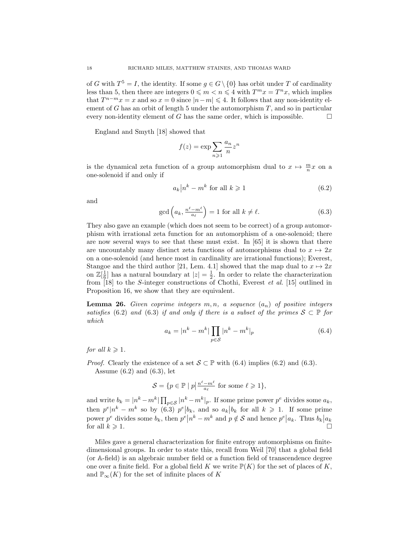of G with  $T^5 = I$ , the identity. If some  $g \in G \setminus \{0\}$  has orbit under T of cardinality less than 5, then there are integers  $0 \leq m < n \leq 4$  with  $T^m x = T^n x$ , which implies that  $T^{n-m}x = x$  and so  $x = 0$  since  $|n-m| \leq 4$ . It follows that any non-identity element of G has an orbit of length 5 under the automorphism  $T$ , and so in particular every non-identity element of G has the same order, which is impossible.  $\Box$ 

England and Smyth [18] showed that

$$
f(z) = \exp \sum_{n \geqslant 1} \frac{a_n}{n} z^n
$$

is the dynamical zeta function of a group automorphism dual to  $x \mapsto \frac{m}{n}x$  on a one-solenoid if and only if

$$
a_k \left| n^k - m^k \text{ for all } k \geqslant 1 \right. \tag{6.2}
$$

and

$$
\gcd\left(a_k, \frac{n^{\ell} - m^{\ell}}{a_{\ell}}\right) = 1 \text{ for all } k \neq \ell.
$$
 (6.3)

They also gave an example (which does not seem to be correct) of a group automorphism with irrational zeta function for an automorphism of a one-solenoid; there are now several ways to see that these must exist. In [65] it is shown that there are uncountably many distinct zeta functions of automorphisms dual to  $x \mapsto 2x$ on a one-solenoid (and hence most in cardinality are irrational functions); Everest, Stangoe and the third author [21, Lem. 4.1] showed that the map dual to  $x \mapsto 2x$ on  $\mathbb{Z}[\frac{1}{6}]$  has a natural boundary at  $|z| = \frac{1}{2}$ . In order to relate the characterization from [18] to the S-integer constructions of Chothi, Everest et al. [15] outlined in Proposition 16, we show that they are equivalent.

**Lemma 26.** Given coprime integers  $m, n$ , a sequence  $(a_n)$  of positive integers satisfies (6.2) and (6.3) if and only if there is a subset of the primes  $S \subset \mathbb{P}$  for which

$$
a_k = |n^k - m^k| \prod_{p \in S} |n^k - m^k|_p \tag{6.4}
$$

for all  $k \geqslant 1$ .

*Proof.* Clearly the existence of a set  $S \subset \mathbb{P}$  with (6.4) implies (6.2) and (6.3). Assume  $(6.2)$  and  $(6.3)$ , let

$$
\mathcal{S} = \{ p \in \mathbb{P} \mid p \big| \frac{n^{\ell} - m^{\ell}}{a_{\ell}} \text{ for some } \ell \geqslant 1 \},
$$

and write  $b_k = |n^k - m^k| \prod_{p \in S} |n^k - m^k|_p$ . If some prime power  $p^e$  divides some  $a_k$ , then  $p^e \mid n^k - m^k$  so by (6.3)  $p^e \mid b_k$ , and so  $a_k \mid b_k$  for all  $k \geq 1$ . If some prime power  $p^e$  divides some  $b_k$ , then  $p^e \mid n^k - m^k$  and  $p \notin S$  and hence  $p^e \mid a_k$ . Thus  $b_k \mid a_k$ for all  $k \geqslant 1$ .

Miles gave a general characterization for finite entropy automorphisms on finitedimensional groups. In order to state this, recall from Weil [70] that a global field (or A-field) is an algebraic number field or a function field of transcendence degree one over a finite field. For a global field K we write  $\mathbb{P}(K)$  for the set of places of K, and  $\mathbb{P}_{\infty}(K)$  for the set of infinite places of K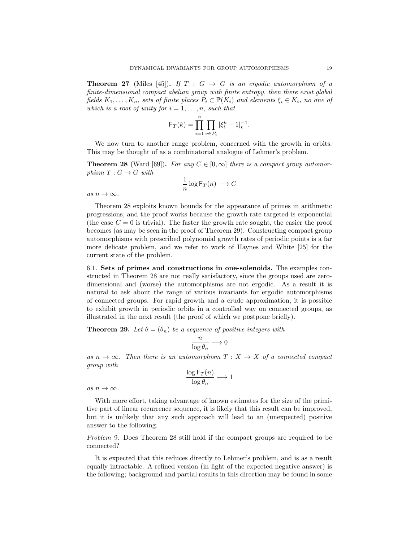**Theorem 27** (Miles [45]). If  $T : G \rightarrow G$  is an ergodic automorphism of a finite-dimensional compact abelian group with finite entropy, then there exist global fields  $K_1, \ldots, K_n$ , sets of finite places  $P_i \subset \mathbb{P}(K_i)$  and elements  $\xi_i \in K_i$ , no one of which is a root of unity for  $i = 1, \ldots, n$ , such that

$$
\mathsf{F}_T(k) = \prod_{i=1}^n \prod_{v \in P_i} |\xi_i^k - 1|_v^{-1}.
$$

We now turn to another range problem, concerned with the growth in orbits. This may be thought of as a combinatorial analogue of Lehmer's problem.

**Theorem 28** (Ward [69]). For any  $C \in [0,\infty]$  there is a compact group automorphism  $T: G \to G$  with

$$
\frac{1}{n}\log \mathsf{F}_T(n) \longrightarrow C
$$

as  $n \to \infty$ .

Theorem 28 exploits known bounds for the appearance of primes in arithmetic progressions, and the proof works because the growth rate targeted is exponential (the case  $C = 0$  is trivial). The faster the growth rate sought, the easier the proof becomes (as may be seen in the proof of Theorem 29). Constructing compact group automorphisms with prescribed polynomial growth rates of periodic points is a far more delicate problem, and we refer to work of Haynes and White [25] for the current state of the problem.

6.1. Sets of primes and constructions in one-solenoids. The examples constructed in Theorem 28 are not really satisfactory, since the groups used are zerodimensional and (worse) the automorphisms are not ergodic. As a result it is natural to ask about the range of various invariants for ergodic automorphisms of connected groups. For rapid growth and a crude approximation, it is possible to exhibit growth in periodic orbits in a controlled way on connected groups, as illustrated in the next result (the proof of which we postpone briefly).

**Theorem 29.** Let  $\theta = (\theta_n)$  be a sequence of positive integers with

$$
\frac{n}{\log \theta_n} \longrightarrow 0
$$

as  $n \to \infty$ . Then there is an automorphism  $T : X \to X$  of a connected compact group with

$$
\frac{\log \mathsf{F}_T(n)}{\log \theta_n} \longrightarrow 1
$$

as  $n \to \infty$ .

With more effort, taking advantage of known estimates for the size of the primitive part of linear recurrence sequence, it is likely that this result can be improved, but it is unlikely that any such approach will lead to an (unexpected) positive answer to the following.

Problem 9. Does Theorem 28 still hold if the compact groups are required to be connected?

It is expected that this reduces directly to Lehmer's problem, and is as a result equally intractable. A refined version (in light of the expected negative answer) is the following; background and partial results in this direction may be found in some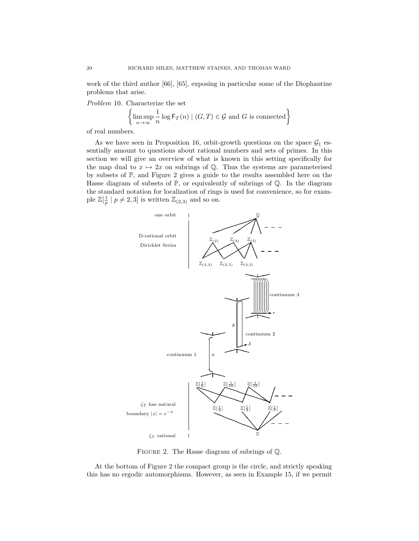work of the third author [66], [65], exposing in particular some of the Diophantine problems that arise.

Problem 10. Characterize the set

$$
\left\{\limsup_{n\to\infty}\frac{1}{n}\log\mathsf{F}_T(n)\mid (G,T)\in\mathcal{G}\text{ and }G\text{ is connected}\right\}
$$

of real numbers.

As we have seen in Proposition 16, orbit-growth questions on the space  $\mathcal{G}_1$  essentially amount to questions about rational numbers and sets of primes. In this section we will give an overview of what is known in this setting specifically for the map dual to  $x \mapsto 2x$  on subrings of  $\mathbb Q$ . Thus the systems are parameterised by subsets of P, and Figure 2 gives a guide to the results assembled here on the Hasse diagram of subsets of  $\mathbb{P}$ , or equivalently of subrings of  $\mathbb{Q}$ . In the diagram the standard notation for localization of rings is used for convenience, so for example  $\mathbb{Z}[\frac{1}{p} \mid p \neq 2, 3]$  is written  $\mathbb{Z}_{(2,3)}$  and so on.



FIGURE 2. The Hasse diagram of subrings of  $\mathbb{Q}$ .

At the bottom of Figure 2 the compact group is the circle, and strictly speaking this has no ergodic automorphisms. However, as seen in Example 15, if we permit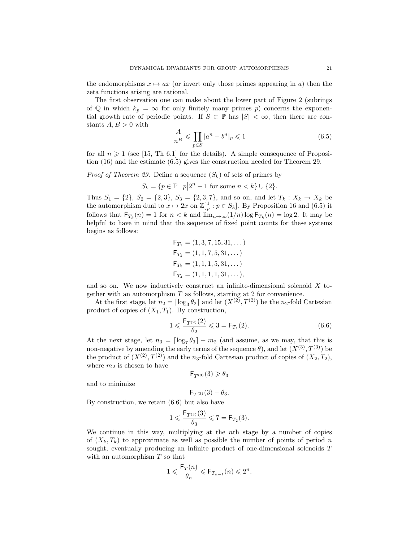the endomorphisms  $x \mapsto ax$  (or invert only those primes appearing in a) then the zeta functions arising are rational.

The first observation one can make about the lower part of Figure 2 (subrings of Q in which  $k_p = \infty$  for only finitely many primes p) concerns the exponential growth rate of periodic points. If  $S \subset \mathbb{P}$  has  $|S| < \infty$ , then there are constants  $A, B > 0$  with

$$
\frac{A}{n^B} \leqslant \prod_{p \in S} |a^n - b^n|_p \leqslant 1\tag{6.5}
$$

for all  $n \geq 1$  (see [15, Th 6.1] for the details). A simple consequence of Proposition (16) and the estimate (6.5) gives the construction needed for Theorem 29.

*Proof of Theorem 29.* Define a sequence  $(S_k)$  of sets of primes by

$$
S_k = \{ p \in \mathbb{P} \mid p \, \big| \, 2^n - 1 \text{ for some } n < k \} \cup \{ 2 \}.
$$

Thus  $S_1 = \{2\}, S_2 = \{2,3\}, S_3 = \{2,3,7\}, \text{ and so on, and let } T_k : X_k \to X_k \text{ be }$ the automorphism dual to  $x \mapsto 2x$  on  $\mathbb{Z}[\frac{1}{p}: p \in S_k]$ . By Proposition 16 and (6.5) it follows that  $F_{T_k}(n) = 1$  for  $n < k$  and  $\lim_{n \to \infty} (1/n) \log F_{T_k}(n) = \log 2$ . It may be helpful to have in mind that the sequence of fixed point counts for these systems begins as follows:

$$
\mathsf{F}_{T_1} = (1, 3, 7, 15, 31, \dots)
$$
\n
$$
\mathsf{F}_{T_2} = (1, 1, 7, 5, 31, \dots)
$$
\n
$$
\mathsf{F}_{T_3} = (1, 1, 1, 5, 31, \dots)
$$
\n
$$
\mathsf{F}_{T_4} = (1, 1, 1, 1, 31, \dots),
$$

and so on. We now inductively construct an infinite-dimensional solenoid  $X$  together with an automorphism  $T$  as follows, starting at 2 for convenience.

At the first stage, let  $n_2 = \lceil \log_3 \theta_2 \rceil$  and let  $(X^{(2)}, T^{(2)})$  be the n<sub>2</sub>-fold Cartesian product of copies of  $(X_1, T_1)$ . By construction,

$$
1 \leqslant \frac{\mathsf{F}_{T^{(2)}}(2)}{\theta_2} \leqslant 3 = \mathsf{F}_{T_1}(2). \tag{6.6}
$$

At the next stage, let  $n_3 = \lceil \log_7 \theta_3 \rceil - m_2$  (and assume, as we may, that this is non-negative by amending the early terms of the sequence  $\theta$ ), and let  $(X^{(3)}, T^{(3)})$  be the product of  $(X^{(2)}, T^{(2)})$  and the n<sub>3</sub>-fold Cartesian product of copies of  $(X_2, T_2)$ , where  $m_2$  is chosen to have

$$
\mathsf{F}_{T^{(3)}}(3) \geqslant \theta_3
$$

and to minimize

 $F_{T(3)}(3) - \theta_3.$ 

By construction, we retain (6.6) but also have

$$
1 \leqslant \frac{\mathsf{F}_{T^{(3)}}(3)}{\theta_3} \leqslant 7 = \mathsf{F}_{T_2}(3).
$$

We continue in this way, multiplying at the nth stage by a number of copies of  $(X_k, T_k)$  to approximate as well as possible the number of points of period n sought, eventually producing an infinite product of one-dimensional solenoids T with an automorphism  $T$  so that

$$
1\leqslant \frac{\mathsf{F}_T(n)}{\theta_n}\leqslant \mathsf{F}_{T_{n-1}}(n)\leqslant 2^n.
$$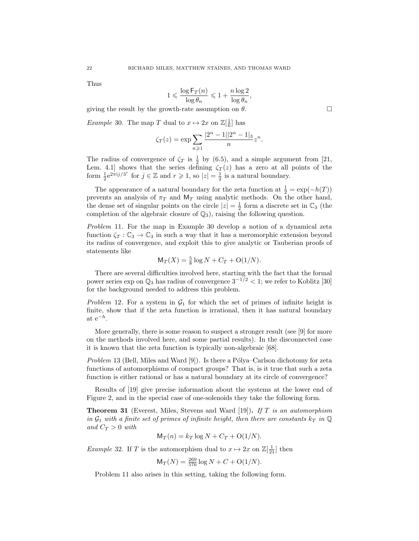Thus

$$
1 \leqslant \frac{\log \mathsf{F}_T(n)}{\log \theta_n} \leqslant 1 + \frac{n \log 2}{\log \theta_n},
$$

giving the result by the growth-rate assumption on  $\theta$ .

*Example* 30. The map T dual to  $x \mapsto 2x$  on  $\mathbb{Z}[\frac{1}{6}]$  has

$$
\zeta_T(z) = \exp \sum_{n \geqslant 1} \frac{|2^n - 1||2^n - 1|}{n} z^n.
$$

The radius of convergence of  $\zeta_T$  is  $\frac{1}{2}$  by (6.5), and a simple argument from [21, Lem. 4.1] shows that the series defining  $\zeta_T(z)$  has a zero at all points of the form  $\frac{1}{2}e^{2\pi i j/3^r}$  for  $j \in \mathbb{Z}$  and  $r \geq 1$ , so  $|z| = \frac{1}{2}$  is a natural boundary.

The appearance of a natural boundary for the zeta function at  $\frac{1}{2} = \exp(-h(T))$ prevents an analysis of  $\pi_T$  and  $M_T$  using analytic methods. On the other hand, the dense set of singular points on the circle  $|z| = \frac{1}{2}$  form a discrete set in  $\mathbb{C}_3$  (the completion of the algebraic closure of  $\mathbb{Q}_3$ ), raising the following question.

Problem 11. For the map in Example 30 develop a notion of a dynamical zeta function  $\zeta_T : \mathbb{C}_3 \to \mathbb{C}_3$  in such a way that it has a meromorphic extension beyond its radius of convergence, and exploit this to give analytic or Tauberian proofs of statements like

$$
M_T(X) = \frac{5}{8} \log N + C_T + O(1/N).
$$

There are several difficulties involved here, starting with the fact that the formal power series exp on  $\mathbb{Q}_3$  has radius of convergence  $3^{-1/2} < 1$ ; we refer to Koblitz [30] for the background needed to address this problem.

Problem 12. For a system in  $\mathcal{G}_1$  for which the set of primes of infinite height is finite, show that if the zeta function is irrational, then it has natural boundary at  $e^{-h}$ .

More generally, there is some reason to suspect a stronger result (see [9] for more on the methods involved here, and some partial results). In the disconnected case it is known that the zeta function is typically non-algebraic [68].

Problem 13 (Bell, Miles and Ward [9]). Is there a Pólya–Carlson dichotomy for zeta functions of automorphisms of compact groups? That is, is it true that such a zeta function is either rational or has a natural boundary at its circle of convergence?

Results of [19] give precise information about the systems at the lower end of Figure 2, and in the special case of one-solenoids they take the following form.

**Theorem 31** (Everest, Miles, Stevens and Ward [19]). If T is an automorphism in  $\mathcal{G}_1$  with a finite set of primes of infinite height, then there are constants  $k_T$  in  $\mathbb Q$ and  $C_T > 0$  with

$$
\mathsf{M}_T(n) = k_T \log N + C_T + \mathcal{O}(1/N).
$$

*Example* 32. If T is the automorphism dual to  $x \mapsto 2x$  on  $\mathbb{Z}[\frac{1}{21}]$  then

$$
\mathsf{M}_T(N) = \frac{269}{576} \log N + C + O(1/N).
$$

Problem 11 also arises in this setting, taking the following form.

$$
|\pi(n) - k\pi| \log N + C\pi + O(1)
$$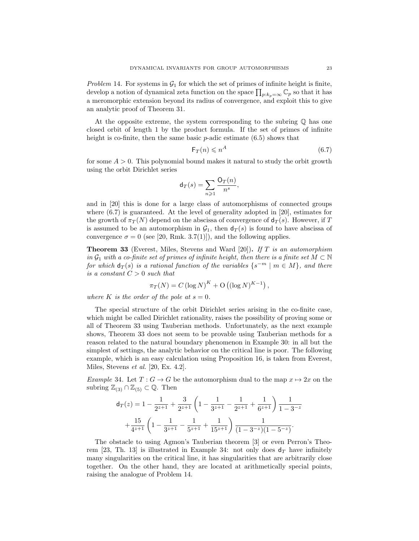Problem 14. For systems in  $G_1$  for which the set of primes of infinite height is finite, develop a notion of dynamical zeta function on the space  $\prod_{p:k_p=\infty} \mathbb{C}_p$  so that it has a meromorphic extension beyond its radius of convergence, and exploit this to give an analytic proof of Theorem 31.

At the opposite extreme, the system corresponding to the subring Q has one closed orbit of length 1 by the product formula. If the set of primes of infinite height is co-finite, then the same basic  $p$ -adic estimate  $(6.5)$  shows that

$$
\mathsf{F}_T(n) \leqslant n^A \tag{6.7}
$$

for some  $A > 0$ . This polynomial bound makes it natural to study the orbit growth using the orbit Dirichlet series

$$
\mathsf{d}_T(s) = \sum_{n \geqslant 1} \frac{\mathsf{O}_T(n)}{n^s},
$$

and in [20] this is done for a large class of automorphisms of connected groups where (6.7) is guaranteed. At the level of generality adopted in [20], estimates for the growth of  $\pi_T(N)$  depend on the abscissa of convergence of  $d_T(s)$ . However, if T is assumed to be an automorphism in  $\mathcal{G}_1$ , then  $d_T(s)$  is found to have abscissa of convergence  $\sigma = 0$  (see [20, Rmk. 3.7(1)]), and the following applies.

**Theorem 33** (Everest, Miles, Stevens and Ward [20]). If T is an automorphism in  $\mathcal{G}_1$  with a co-finite set of primes of infinite height, then there is a finite set  $M \subset \mathbb{N}$ for which  $d_T(s)$  is a rational function of the variables  $\{s^{-m} | m \in M\}$ , and there is a constant  $C > 0$  such that

$$
\pi_T(N) = C (\log N)^K + O((\log N)^{K-1}),
$$

where K is the order of the pole at  $s = 0$ .

The special structure of the orbit Dirichlet series arising in the co-finite case, which might be called Dirichlet rationality, raises the possibility of proving some or all of Theorem 33 using Tauberian methods. Unfortunately, as the next example shows, Theorem 33 does not seem to be provable using Tauberian methods for a reason related to the natural boundary phenomenon in Example 30: in all but the simplest of settings, the analytic behavior on the critical line is poor. The following example, which is an easy calculation using Proposition 16, is taken from Everest, Miles, Stevens et al. [20, Ex. 4.2].

Example 34. Let  $T: G \to G$  be the automorphism dual to the map  $x \mapsto 2x$  on the subring  $\mathbb{Z}_{(3)} \cap \mathbb{Z}_{(5)} \subset \mathbb{Q}$ . Then

$$
\mathsf{d}_{T}(z) = 1 - \frac{1}{2^{z+1}} + \frac{3}{2^{z+1}} \left( 1 - \frac{1}{3^{z+1}} - \frac{1}{2^{z+1}} + \frac{1}{6^{z+1}} \right) \frac{1}{1 - 3^{-z}}
$$

$$
+ \frac{15}{4^{z+1}} \left( 1 - \frac{1}{3^{z+1}} - \frac{1}{5^{z+1}} + \frac{1}{15^{z+1}} \right) \frac{1}{(1 - 3^{-z})(1 - 5^{-z})}.
$$

The obstacle to using Agmon's Tauberian theorem [3] or even Perron's Theorem [23, Th. 13] is illustrated in Example 34: not only does  $d_T$  have infinitely many singularities on the critical line, it has singularities that are arbitrarily close together. On the other hand, they are located at arithmetically special points, raising the analogue of Problem 14.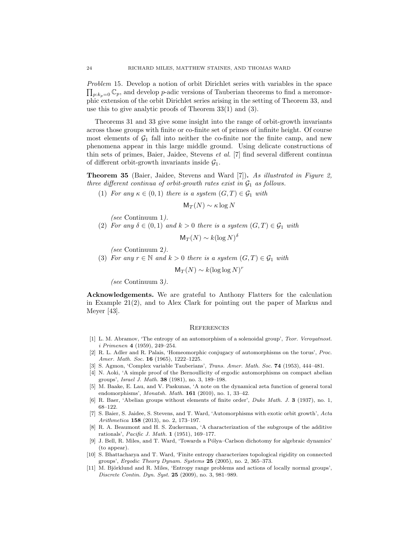Problem 15. Develop a notion of orbit Dirichlet series with variables in the space  $\prod_{p:k_p=0} \mathbb{C}_p$ , and develop p-adic versions of Tauberian theorems to find a meromorphic extension of the orbit Dirichlet series arising in the setting of Theorem 33, and use this to give analytic proofs of Theorem 33(1) and (3).

Theorems 31 and 33 give some insight into the range of orbit-growth invariants across those groups with finite or co-finite set of primes of infinite height. Of course most elements of  $\mathcal{G}_1$  fall into neither the co-finite nor the finite camp, and new phenomena appear in this large middle ground. Using delicate constructions of thin sets of primes, Baier, Jaidee, Stevens et al. [7] find several different continua of different orbit-growth invariants inside  $\mathcal{G}_1$ .

Theorem 35 (Baier, Jaidee, Stevens and Ward [7]). As illustrated in Figure 2, three different continua of orbit-growth rates exist in  $\mathcal{G}_1$  as follows.

(1) For any  $\kappa \in (0,1)$  there is a system  $(G,T) \in \mathcal{G}_1$  with

$$
\mathsf{M}_T(N) \sim \kappa \log N
$$

- (see Continuum 1).
- (2) For any  $\delta \in (0,1)$  and  $k > 0$  there is a system  $(G, T) \in \mathcal{G}_1$  with

$$
\mathsf{M}_T(N) \sim k(\log N)^{\delta}
$$

(see Continuum 2).

(3) For any  $r \in \mathbb{N}$  and  $k > 0$  there is a system  $(G, T) \in \mathcal{G}_1$  with

$$
\mathsf{M}_T(N) \sim k(\log\log N)^r
$$

(see Continuum 3).

Acknowledgements. We are grateful to Anthony Flatters for the calculation in Example 21(2), and to Alex Clark for pointing out the paper of Markus and Meyer [43].

#### **REFERENCES**

- [1] L. M. Abramov, 'The entropy of an automorphism of a solenoidal group', Teor. Veroyatnost. i Primenen 4 (1959), 249–254.
- [2] R. L. Adler and R. Palais, 'Homeomorphic conjugacy of automorphisms on the torus', Proc. Amer. Math. Soc. 16 (1965), 1222-1225.
- [3] S. Agmon, 'Complex variable Tauberians', Trans. Amer. Math. Soc. 74 (1953), 444–481.
- [4] N. Aoki, 'A simple proof of the Bernoullicity of ergodic automorphisms on compact abelian groups', Israel J. Math. 38 (1981), no. 3, 189–198.
- [5] M. Baake, E. Lau, and V. Paskunas, 'A note on the dynamical zeta function of general toral endomorphisms', *Monatsh. Math.* **161** (2010), no. 1, 33-42.
- [6] R. Baer, 'Abelian groups without elements of finite order', Duke Math. J. 3 (1937), no. 1, 68–122.
- [7] S. Baier, S. Jaidee, S. Stevens, and T. Ward, 'Automorphisms with exotic orbit growth', Acta Arithmetica 158 (2013), no. 2, 173-197.
- [8] R. A. Beaumont and H. S. Zuckerman, 'A characterization of the subgroups of the additive rationals', Pacific J. Math. 1 (1951), 169–177.
- [9] J. Bell, R. Miles, and T. Ward, 'Towards a Pólya–Carlson dichotomy for algebraic dynamics' (to appear).
- [10] S. Bhattacharya and T. Ward, 'Finite entropy characterizes topological rigidity on connected groups', Ergodic Theory Dynam. Systems 25 (2005), no. 2, 365–373.
- [11] M. Björklund and R. Miles, 'Entropy range problems and actions of locally normal groups', Discrete Contin. Dyn. Syst. 25 (2009), no. 3, 981–989.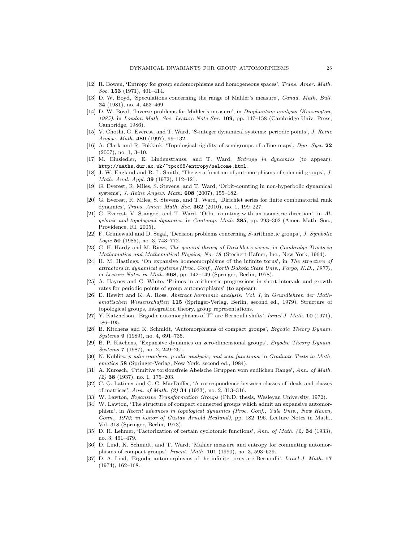- [12] R. Bowen, 'Entropy for group endomorphisms and homogeneous spaces', Trans. Amer. Math. Soc. 153 (1971), 401–414.
- [13] D. W. Boyd, 'Speculations concerning the range of Mahler's measure', Canad. Math. Bull. 24 (1981), no. 4, 453–469.
- [14] D. W. Boyd, 'Inverse problems for Mahler's measure', in Diophantine analysis (Kensington, 1985), in London Math. Soc. Lecture Note Ser. 109, pp. 147–158 (Cambridge Univ. Press, Cambridge, 1986).
- [15] V. Chothi, G. Everest, and T. Ward, 'S-integer dynamical systems: periodic points', J. Reine Angew. Math. 489 (1997), 99-132.
- [16] A. Clark and R. Fokkink, 'Topological rigidity of semigroups of affine maps', Dyn. Syst. 22 (2007), no. 1, 3–10.
- [17] M. Einsiedler, E. Lindenstrauss, and T. Ward, Entropy in dynamics (to appear). http://maths.dur.ac.uk/~tpcc68/entropy/welcome.html.
- [18] J. W. England and R. L. Smith, 'The zeta function of automorphisms of solenoid groups', J. Math. Anal. Appl. 39 (1972), 112–121.
- [19] G. Everest, R. Miles, S. Stevens, and T. Ward, 'Orbit-counting in non-hyperbolic dynamical systems', J. Reine Angew. Math. 608 (2007), 155–182.
- [20] G. Everest, R. Miles, S. Stevens, and T. Ward, 'Dirichlet series for finite combinatorial rank dynamics', Trans. Amer. Math. Soc. 362 (2010), no. 1, 199-227.
- [21] G. Everest, V. Stangoe, and T. Ward, 'Orbit counting with an isometric direction', in Algebraic and topological dynamics, in Contemp. Math. 385, pp. 293–302 (Amer. Math. Soc., Providence, RI, 2005).
- [22] F. Grunewald and D. Segal, 'Decision problems concerning S-arithmetic groups', J. Symbolic  $Logic 50 (1985), no. 3, 743–772.$
- [23] G. H. Hardy and M. Riesz, The general theory of Dirichlet's series, in Cambridge Tracts in Mathematics and Mathematical Physics, No. 18 (Stechert-Hafner, Inc., New York, 1964).
- [24] H. M. Hastings, 'On expansive homeomorphisms of the infinite torus', in The structure of attractors in dynamical systems (Proc. Conf., North Dakota State Univ., Fargo, N.D., 1977), in Lecture Notes in Math. 668, pp. 142–149 (Springer, Berlin, 1978).
- [25] A. Haynes and C. White, 'Primes in arithmetic progressions in short intervals and growth rates for periodic points of group automorphisms' (to appear).
- [26] E. Hewitt and K. A. Ross, Abstract harmonic analysis. Vol. I, in Grundlehren der Mathematischen Wissenschaften 115 (Springer-Verlag, Berlin, second ed., 1979). Structure of topological groups, integration theory, group representations.
- [27] Y. Katznelson, 'Ergodic automorphisms of  $\mathbb{T}^n$  are Bernoulli shifts', Israel J. Math. 10 (1971), 186–195.
- [28] B. Kitchens and K. Schmidt, 'Automorphisms of compact groups', Ergodic Theory Dynam. Systems 9 (1989), no. 4, 691-735.
- [29] B. P. Kitchens, 'Expansive dynamics on zero-dimensional groups', Ergodic Theory Dynam. Systems **7** (1987), no. 2, 249-261.
- [30] N. Koblitz, p-adic numbers, p-adic analysis, and zeta-functions, in Graduate Texts in Mathematics 58 (Springer-Verlag, New York, second ed., 1984).
- [31] A. Kurosch, 'Primitive torsionsfreie Abelsche Gruppen vom endlichen Range', Ann. of Math.  $(2)$  38  $(1937)$ , no. 1, 175–203.
- [32] C. G. Latimer and C. C. MacDuffee, 'A correspondence between classes of ideals and classes of matrices', Ann. of Math. (2) 34 (1933), no. 2, 313–316.
- [33] W. Lawton, Expansive Transformation Groups (Ph.D. thesis, Wesleyan University, 1972).
- [34] W. Lawton, 'The structure of compact connected groups which admit an expansive automorphism', in Recent advances in topological dynamics (Proc. Conf., Yale Univ., New Haven, Conn., 1972; in honor of Gustav Arnold Hedlund), pp. 182–196. Lecture Notes in Math., Vol. 318 (Springer, Berlin, 1973).
- [35] D. H. Lehmer, 'Factorization of certain cyclotomic functions', Ann. of Math. (2) 34 (1933), no. 3, 461–479.
- [36] D. Lind, K. Schmidt, and T. Ward, 'Mahler measure and entropy for commuting automorphisms of compact groups', Invent. Math. 101 (1990), no. 3, 593–629.
- [37] D. A. Lind, 'Ergodic automorphisms of the infinite torus are Bernoulli', Israel J. Math. 17 (1974), 162–168.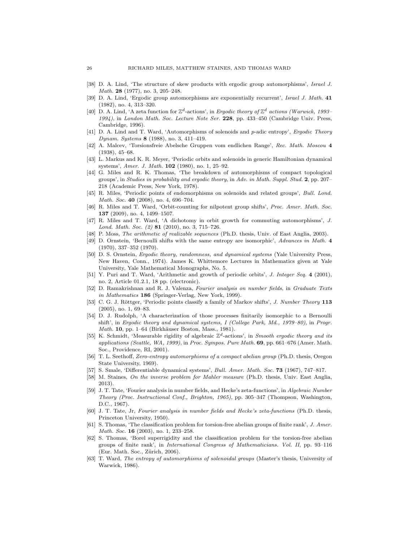- [38] D. A. Lind, 'The structure of skew products with ergodic group automorphisms', Israel J. Math. 28 (1977), no. 3, 205–248.
- [39] D. A. Lind, 'Ergodic group automorphisms are exponentially recurrent', Israel J. Math. 41 (1982), no. 4, 313–320.
- [40] D. A. Lind, 'A zeta function for  $\mathbb{Z}^d$ -actions', in Ergodic theory of  $\mathbb{Z}^d$  actions (Warwick, 1993– 1994), in London Math. Soc. Lecture Note Ser. 228, pp. 433–450 (Cambridge Univ. Press, Cambridge, 1996).
- [41] D. A. Lind and T. Ward, 'Automorphisms of solenoids and p-adic entropy', Ergodic Theory Dynam. Systems 8 (1988), no. 3, 411–419.
- [42] A. Malcev, 'Torsionsfreie Abelsche Gruppen vom endlichen Range', Rec. Math. Moscou 4 (1938), 45–68.
- [43] L. Markus and K. R. Meyer, 'Periodic orbits and solenoids in generic Hamiltonian dynamical systems', Amer. J. Math. 102 (1980), no. 1, 25–92.
- [44] G. Miles and R. K. Thomas, 'The breakdown of automorphisms of compact topological groups', in Studies in probability and ergodic theory, in Adv. in Math. Suppl. Stud. 2, pp. 207– 218 (Academic Press, New York, 1978).
- [45] R. Miles, 'Periodic points of endomorphisms on solenoids and related groups', Bull. Lond. Math. Soc. 40 (2008), no. 4, 696-704.
- [46] R. Miles and T. Ward, 'Orbit-counting for nilpotent group shifts', Proc. Amer. Math. Soc. 137 (2009), no. 4, 1499–1507.
- [47] R. Miles and T. Ward, 'A dichotomy in orbit growth for commuting automorphisms', J. Lond. Math. Soc. (2) 81 (2010), no. 3, 715–726.
- [48] P. Moss, The arithmetic of realizable sequences (Ph.D. thesis, Univ. of East Anglia, 2003).
- [49] D. Ornstein, 'Bernoulli shifts with the same entropy are isomorphic', Advances in Math. 4 (1970), 337–352 (1970).
- [50] D. S. Ornstein, Ergodic theory, randomness, and dynamical systems (Yale University Press, New Haven, Conn., 1974). James K. Whittemore Lectures in Mathematics given at Yale University, Yale Mathematical Monographs, No. 5.
- [51] Y. Puri and T. Ward, 'Arithmetic and growth of periodic orbits', J. Integer Seq. 4 (2001), no. 2, Article 01.2.1, 18 pp. (electronic).
- [52] D. Ramakrishnan and R. J. Valenza, Fourier analysis on number fields, in Graduate Texts in Mathematics 186 (Springer-Verlag, New York, 1999).
- [53] C. G. J. Röttger, 'Periodic points classify a family of Markov shifts', J. Number Theory 113 (2005), no. 1, 69–83.
- [54] D. J. Rudolph, 'A characterization of those processes finitarily isomorphic to a Bernoulli shift', in Ergodic theory and dynamical systems, I (College Park, Md., 1979–80), in Progr. Math. 10, pp. 1–64 (Birkhäuser Boston, Mass., 1981).
- [55] K. Schmidt, 'Measurable rigidity of algebraic  $\mathbb{Z}^d$ -actions', in Smooth ergodic theory and its applications (Seattle, WA, 1999), in Proc. Sympos. Pure Math.  $69$ , pp. 661–676 (Amer. Math. Soc., Providence, RI, 2001).
- [56] T. L. Seethoff, Zero-entropy automorphisms of a compact abelian group (Ph.D. thesis, Oregon State University, 1969).
- [57] S. Smale, 'Differentiable dynamical systems', Bull. Amer. Math. Soc. 73 (1967), 747–817.
- [58] M. Staines, On the inverse problem for Mahler measure (Ph.D. thesis, Univ. East Anglia, 2013).
- [59] J. T. Tate, 'Fourier analysis in number fields, and Hecke's zeta-functions', in Algebraic Number Theory (Proc. Instructional Conf., Brighton, 1965), pp. 305–347 (Thompson, Washington, D.C., 1967).
- [60] J. T. Tate, Jr, Fourier analysis in number fields and Hecke's zeta-functions (Ph.D. thesis, Princeton University, 1950).
- [61] S. Thomas, 'The classification problem for torsion-free abelian groups of finite rank', J. Amer. Math. Soc. **16** (2003), no. 1, 233-258.
- [62] S. Thomas, 'Borel superrigidity and the classification problem for the torsion-free abelian groups of finite rank', in International Congress of Mathematicians. Vol. II, pp. 93–116  $(Eur. Math. Soc., Zürich, 2006).$
- [63] T. Ward, The entropy of automorphisms of solenoidal groups (Master's thesis, University of Warwick, 1986).